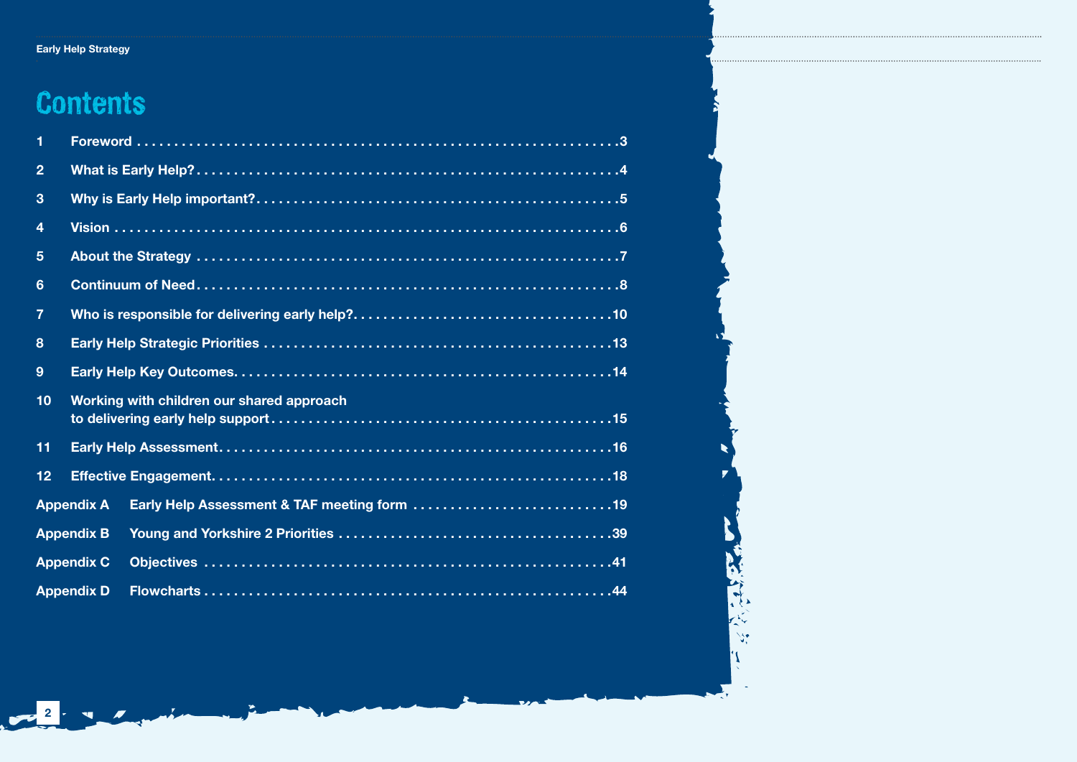### Early Help Strategy Early Help Strategy

### **Contents**

2 - 4 / 1

| 1              |                   |                                                  |
|----------------|-------------------|--------------------------------------------------|
| $\overline{2}$ |                   |                                                  |
| 3              |                   |                                                  |
| 4              |                   |                                                  |
| 5              |                   |                                                  |
| $6\phantom{1}$ |                   |                                                  |
| $\overline{7}$ |                   |                                                  |
| 8              |                   |                                                  |
| 9              |                   |                                                  |
| 10             |                   | <b>Working with children our shared approach</b> |
| 11             |                   |                                                  |
| 12             |                   |                                                  |
|                | <b>Appendix A</b> | Early Help Assessment & TAF meeting form 19      |
|                | <b>Appendix B</b> |                                                  |
|                | <b>Appendix C</b> |                                                  |
|                | <b>Appendix D</b> |                                                  |

计定数

 $\mathcal{L}_{\mathbf{S}_i}$ 'N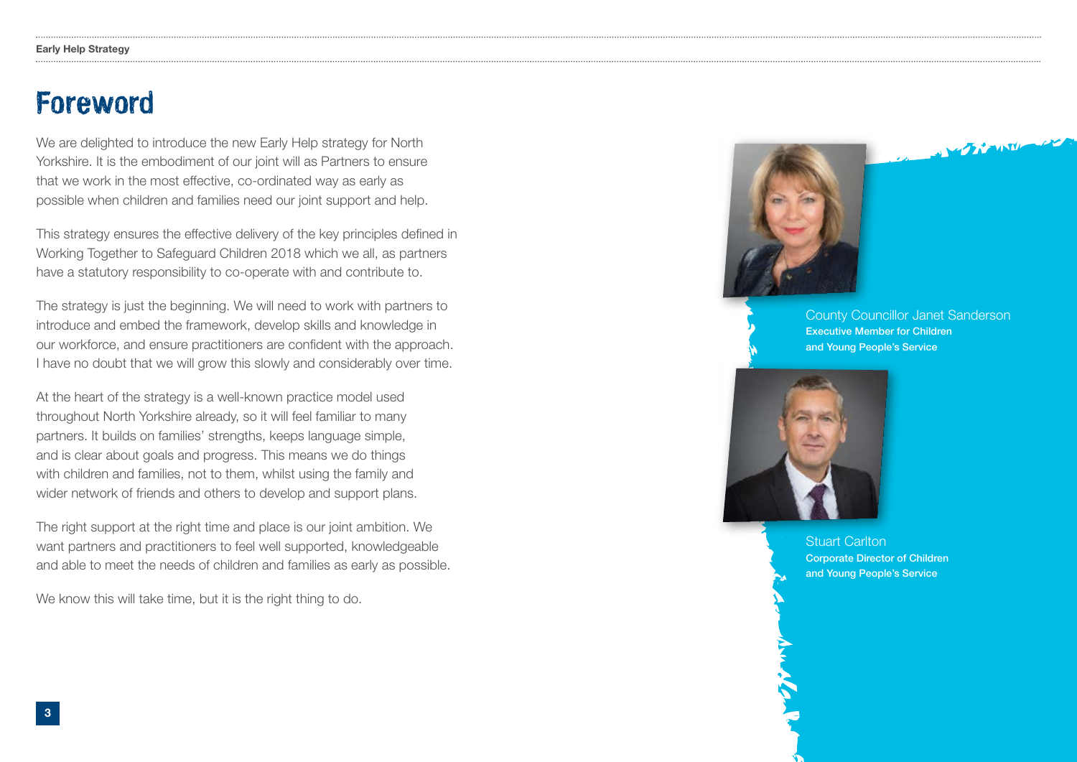### Foreword

We are delighted to introduce the new Early Help strategy for North Yorkshire. It is the embodiment of our joint will as Partners to ensure that we work in the most effective, co-ordinated way as early as possible when children and families need our joint support and help.

This strategy ensures the effective delivery of the key principles defned in Working Together to Safeguard Children 2018 which we all, as partners have a statutory responsibility to co-operate with and contribute to.

The strategy is just the beginning. We will need to work with partners to introduce and embed the framework, develop skills and knowledge in our workforce, and ensure practitioners are confdent with the approach. I have no doubt that we will grow this slowly and considerably over time.

At the heart of the strategy is a well-known practice model used throughout North Yorkshire already, so it will feel familiar to many partners. It builds on families' strengths, keeps language simple, and is clear about goals and progress. This means we do things with children and families, not to them, whilst using the family and wider network of friends and others to develop and support plans.

The right support at the right time and place is our joint ambition. We want partners and practitioners to feel well supported, knowledgeable and able to meet the needs of children and families as early as possible.

We know this will take time, but it is the right thing to do.



County Councillor Janet Sanderson Executive Member for Children and Young People's Service

 $\mathbf{z}$  is a subset of  $\mathbf{z}$ 



Stuart Carlton Corporate Director of Children and Young People's Service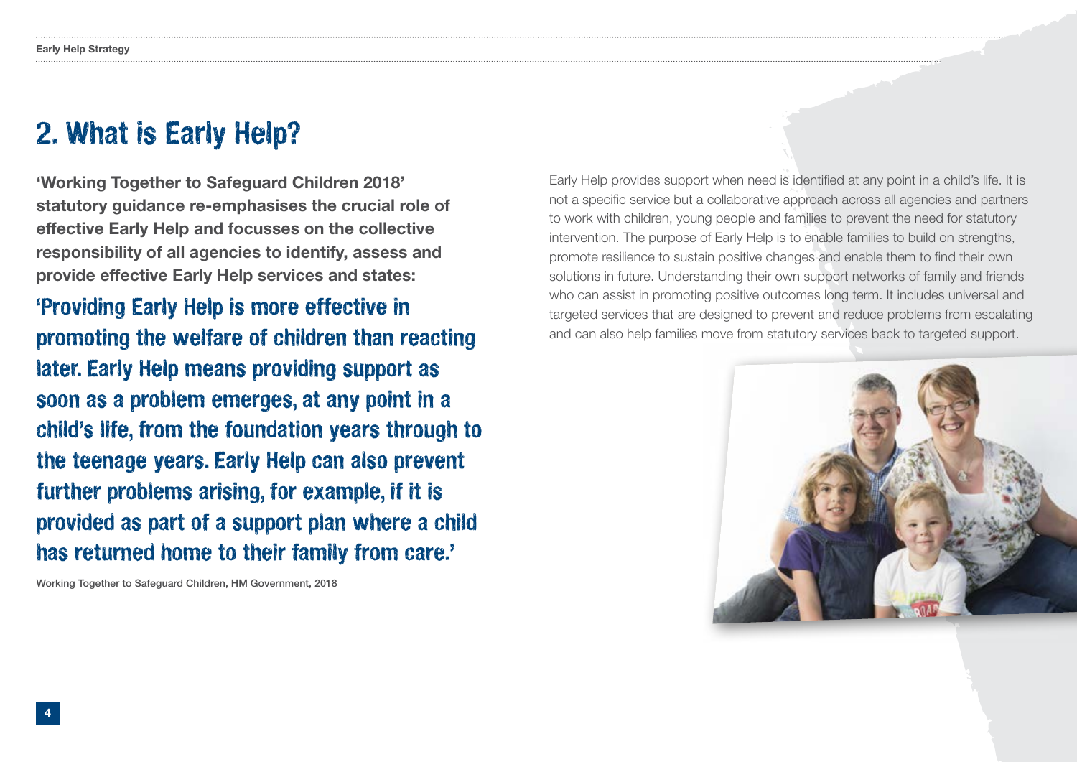### 2. What is Early Help?

'Working Together to Safeguard Children 2018' statutory guidance re-emphasises the crucial role of effective Early Help and focusses on the collective responsibility of all agencies to identify, assess and provide effective Early Help services and states:

'Providing Early Help is more effective in promoting the welfare of children than reacting later. Early Help means providing support as soon as a problem emerges, at any point in a child's life, from the foundation years through to the teenage years. Early Help can also prevent further problems arising, for example, if it is provided as part of a support plan where a child has returned home to their family from care.'

Working Together to Safeguard Children, HM Government, 2018

Early Help provides support when need is identifed at any point in a child's life. It is not a specifc service but a collaborative approach across all agencies and partners to work with children, young people and families to prevent the need for statutory intervention. The purpose of Early Help is to enable families to build on strengths, promote resilience to sustain positive changes and enable them to fnd their own solutions in future. Understanding their own support networks of family and friends who can assist in promoting positive outcomes long term. It includes universal and targeted services that are designed to prevent and reduce problems from escalating and can also help families move from statutory services back to targeted support.

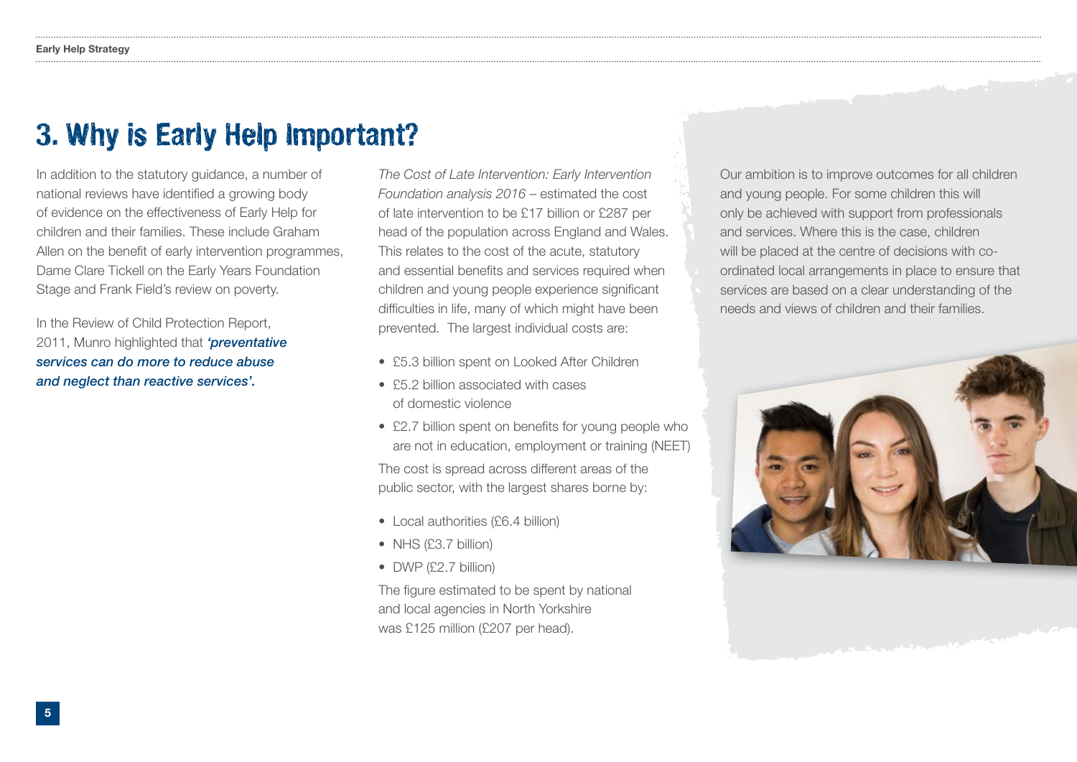### 3. Why is Early Help Important?

In addition to the statutory guidance, a number of national reviews have identifed a growing body of evidence on the effectiveness of Early Help for children and their families. These include Graham Allen on the benefit of early intervention programmes, Dame Clare Tickell on the Early Years Foundation Stage and Frank Field's review on poverty.

In the Review of Child Protection Report, 2011, Munro highlighted that *'preventative services can do more to reduce abuse and neglect than reactive services'.* 

*The Cost of Late Intervention: Early Intervention Foundation analysis 2016* – estimated the cost of late intervention to be £17 billion or £287 per head of the population across England and Wales. This relates to the cost of the acute, statutory and essential benefits and services required when children and young people experience signifcant diffculties in life, many of which might have been prevented. The largest individual costs are:

- £5.3 billion spent on Looked After Children
- £5.2 billion associated with cases of domestic violence
- £2.7 billion spent on benefits for young people who are not in education, employment or training (NEET) The cost is spread across different areas of the public sector, with the largest shares borne by:
- Local authorities (£6.4 billion)
- NHS (£3.7 billion)
- DWP (£2.7 billion)

The figure estimated to be spent by national and local agencies in North Yorkshire was £125 million (£207 per head).

Our ambition is to improve outcomes for all children and young people. For some children this will only be achieved with support from professionals and services. Where this is the case, children will be placed at the centre of decisions with coordinated local arrangements in place to ensure that services are based on a clear understanding of the needs and views of children and their families.

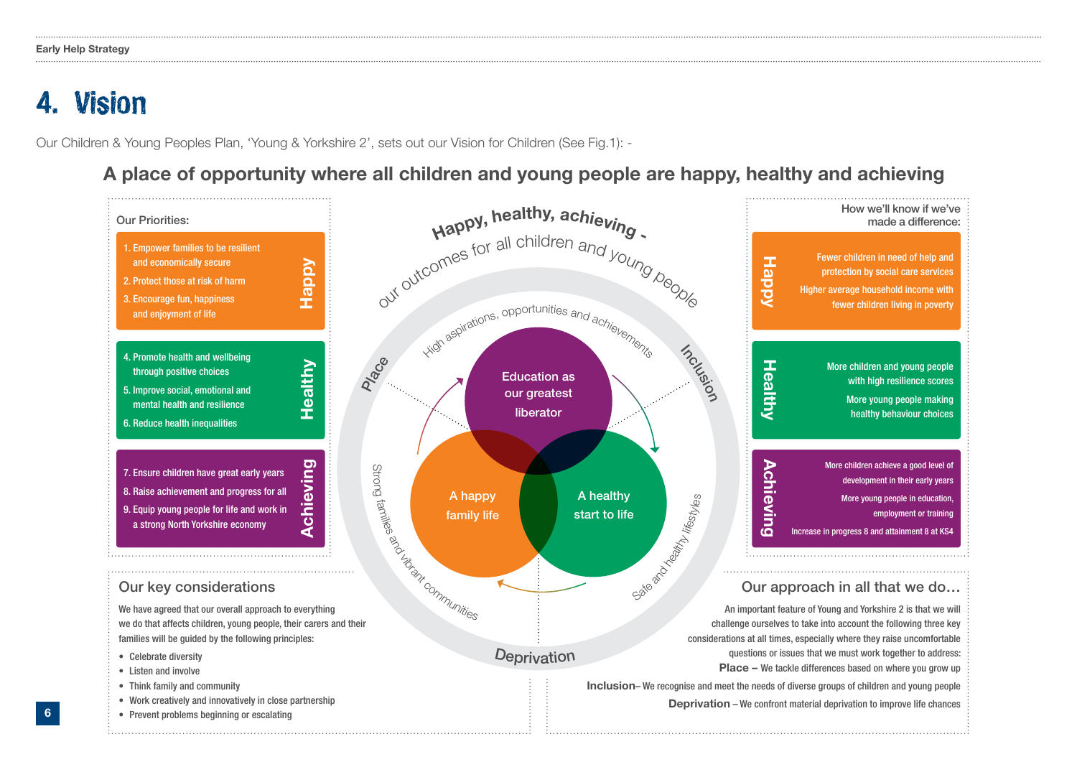### 4. Vision

6

Our Children & Young Peoples Plan, 'Young & Yorkshire 2', sets out our Vision for Children (See Fig.1): -

### A place of opportunity where all children and young people are happy, healthy and achieving

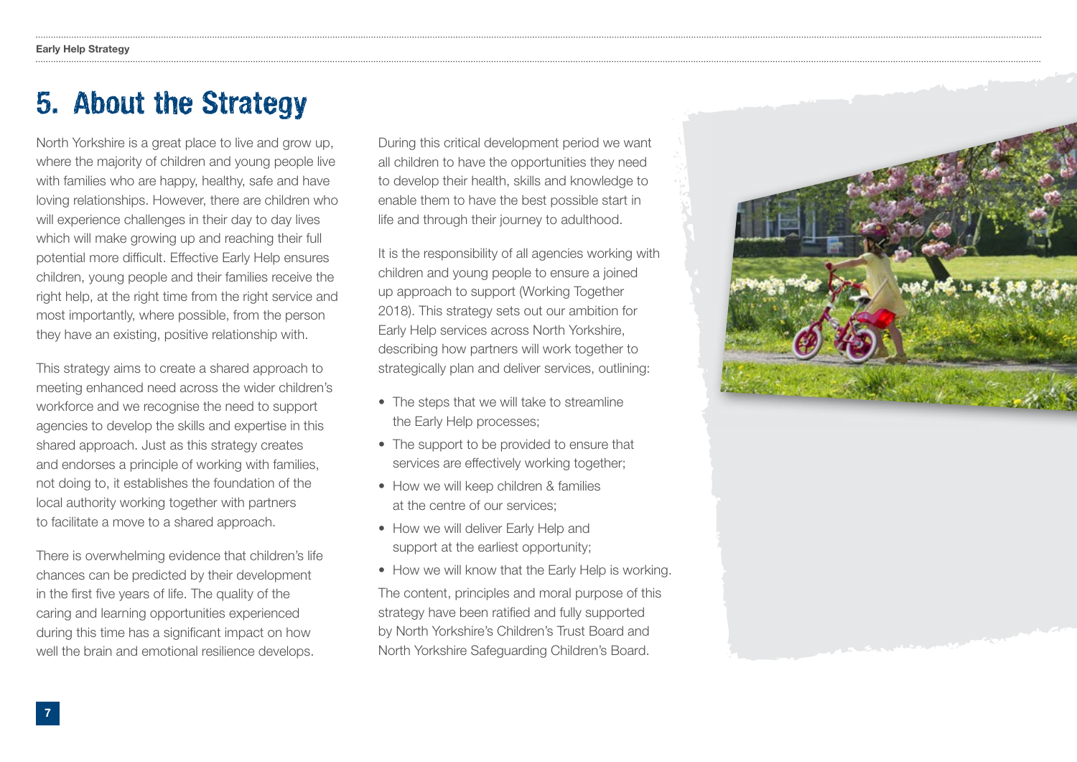### 5. About the Strategy

North Yorkshire is a great place to live and grow up, where the majority of children and young people live with families who are happy, healthy, safe and have loving relationships. However, there are children who will experience challenges in their day to day lives which will make growing up and reaching their full potential more difficult. Effective Early Help ensures children, young people and their families receive the right help, at the right time from the right service and most importantly, where possible, from the person they have an existing, positive relationship with.

This strategy aims to create a shared approach to meeting enhanced need across the wider children's workforce and we recognise the need to support agencies to develop the skills and expertise in this shared approach. Just as this strategy creates and endorses a principle of working with families, not doing to, it establishes the foundation of the local authority working together with partners to facilitate a move to a shared approach.

There is overwhelming evidence that children's life chances can be predicted by their development in the first five years of life. The quality of the caring and learning opportunities experienced during this time has a significant impact on how well the brain and emotional resilience develops.

During this critical development period we want all children to have the opportunities they need to develop their health, skills and knowledge to enable them to have the best possible start in life and through their journey to adulthood.

It is the responsibility of all agencies working with children and young people to ensure a joined up approach to support (Working Together 2018). This strategy sets out our ambition for Early Help services across North Yorkshire, describing how partners will work together to strategically plan and deliver services, outlining:

- The steps that we will take to streamline the Early Help processes;
- The support to be provided to ensure that services are effectively working together;
- How we will keep children & families at the centre of our services;
- How we will deliver Early Help and support at the earliest opportunity;
- How we will know that the Early Help is working. The content, principles and moral purpose of this strategy have been ratifed and fully supported by North Yorkshire's Children's Trust Board and North Yorkshire Safeguarding Children's Board.

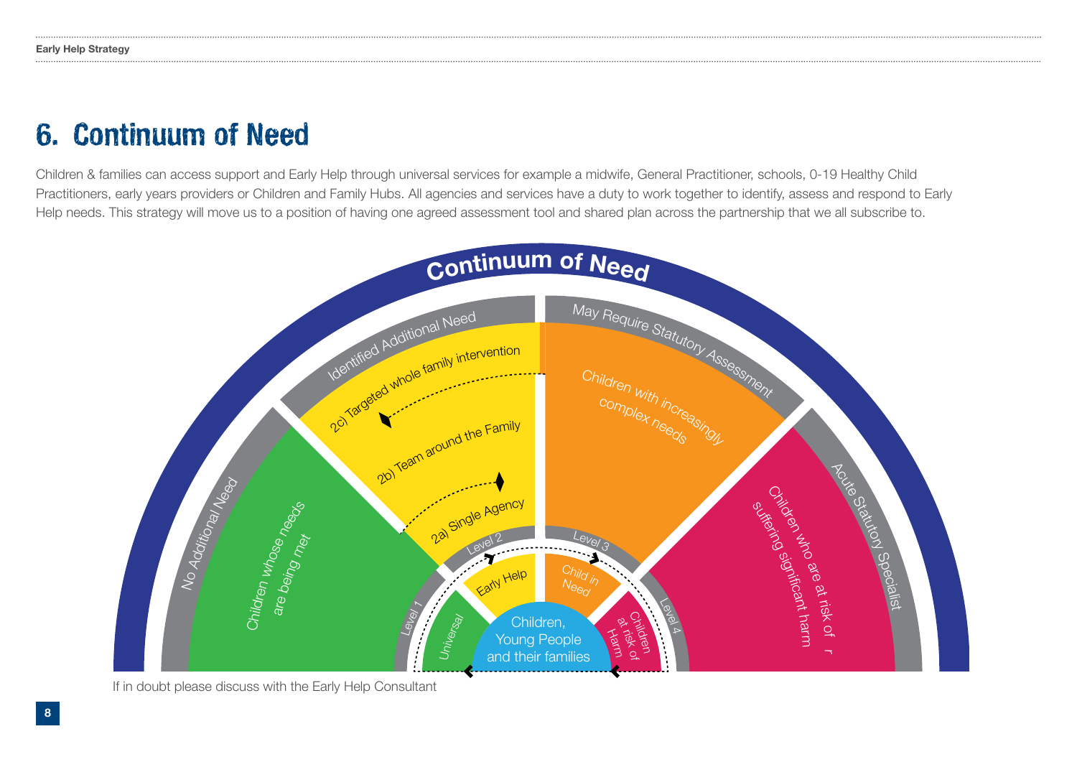### 6. Continuum of Need

Children & families can access support and Early Help through universal services for example a midwife, General Practitioner, schools, 0-19 Healthy Child Practitioners, early years providers or Children and Family Hubs. All agencies and services have a duty to work together to identify, assess and respond to Early Help needs. This strategy will move us to a position of having one agreed assessment tool and shared plan across the partnership that we all subscribe to.



If in doubt please discuss with the Early Help Consultant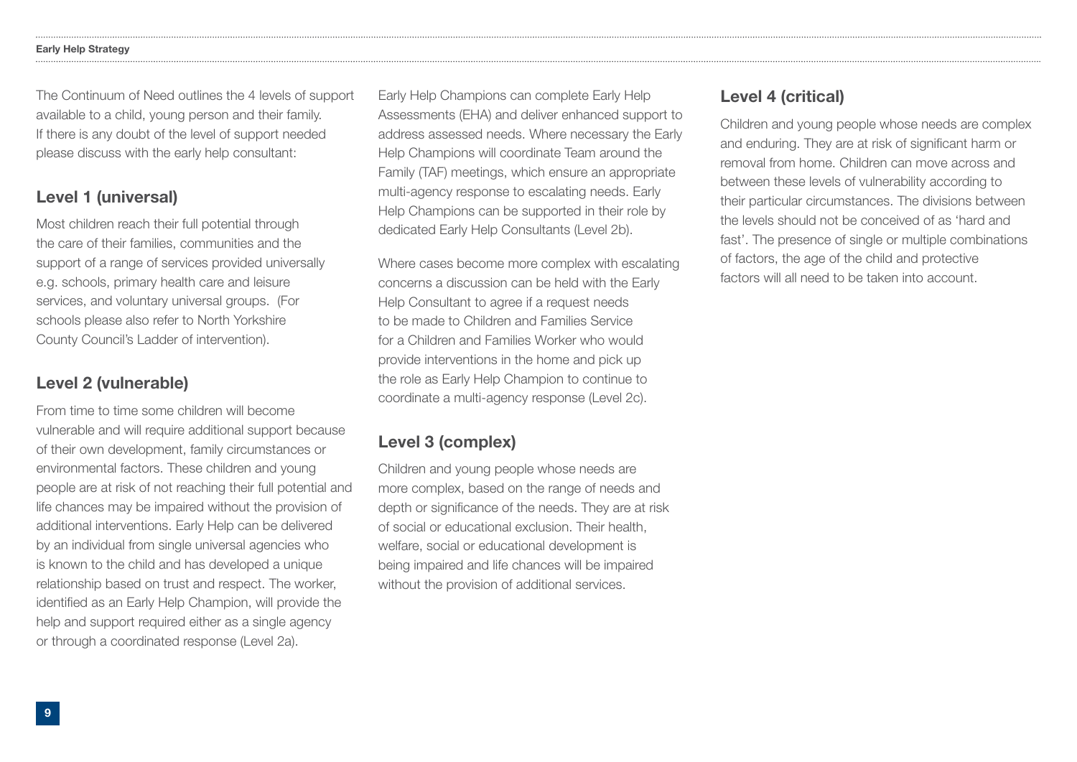### Early Help Strategy

The Continuum of Need outlines the 4 levels of support available to a child, young person and their family. If there is any doubt of the level of support needed please discuss with the early help consultant:

### Level 1 (universal)

Most children reach their full potential through the care of their families, communities and the support of a range of services provided universally e.g. schools, primary health care and leisure services, and voluntary universal groups. (For schools please also refer to North Yorkshire County Council's Ladder of intervention).

### Level 2 (vulnerable)

From time to time some children will become vulnerable and will require additional support because of their own development, family circumstances or environmental factors. These children and young people are at risk of not reaching their full potential and life chances may be impaired without the provision of additional interventions. Early Help can be delivered by an individual from single universal agencies who is known to the child and has developed a unique relationship based on trust and respect. The worker, identifed as an Early Help Champion, will provide the help and support required either as a single agency or through a coordinated response (Level 2a).

Early Help Champions can complete Early Help Assessments (EHA) and deliver enhanced support to address assessed needs. Where necessary the Early Help Champions will coordinate Team around the Family (TAF) meetings, which ensure an appropriate multi-agency response to escalating needs. Early Help Champions can be supported in their role by dedicated Early Help Consultants (Level 2b).

Where cases become more complex with escalating concerns a discussion can be held with the Early Help Consultant to agree if a request needs to be made to Children and Families Service for a Children and Families Worker who would provide interventions in the home and pick up the role as Early Help Champion to continue to coordinate a multi-agency response (Level 2c).

### Level 3 (complex)

Children and young people whose needs are more complex, based on the range of needs and depth or signifcance of the needs. They are at risk of social or educational exclusion. Their health, welfare, social or educational development is being impaired and life chances will be impaired without the provision of additional services.

### Level 4 (critical)

Children and young people whose needs are complex and enduring. They are at risk of significant harm or removal from home. Children can move across and between these levels of vulnerability according to their particular circumstances. The divisions between the levels should not be conceived of as 'hard and fast'. The presence of single or multiple combinations of factors, the age of the child and protective factors will all need to be taken into account.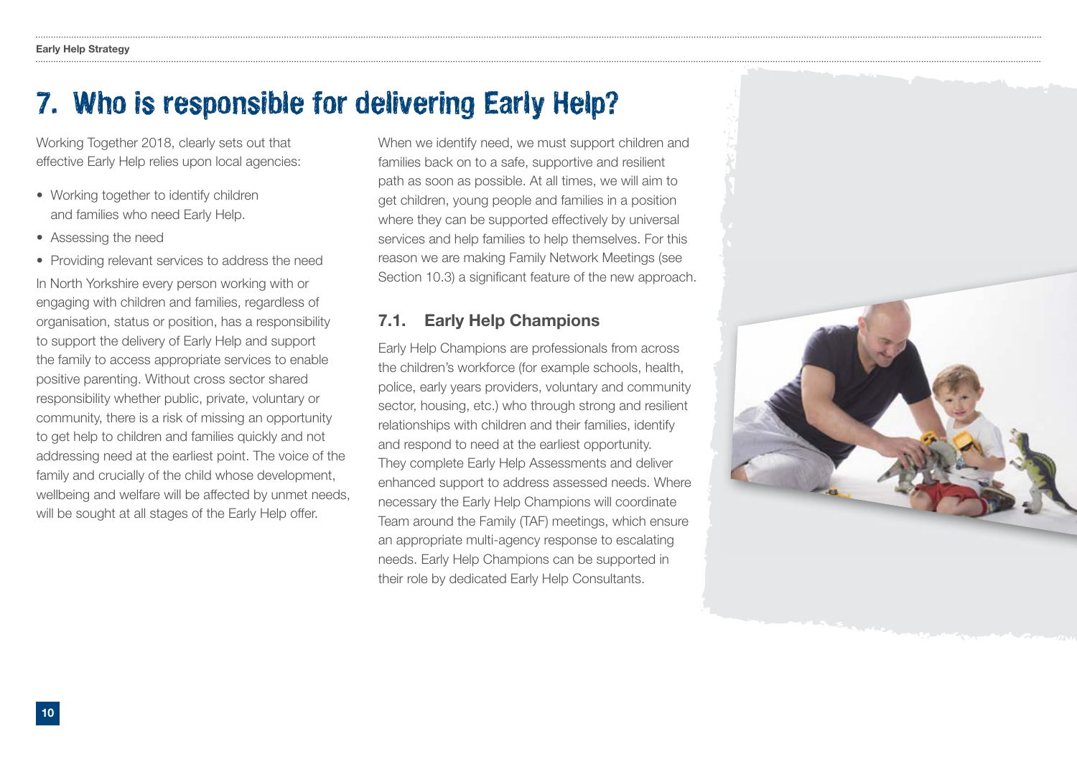### 7. Who is responsible for delivering Early Help?

Working Together 2018, clearly sets out that effective Early Help relies upon local agencies:

- Working together to identify children and families who need Early Help.
- Assessing the need
- Providing relevant services to address the need

In North Yorkshire every person working with or engaging with children and families, regardless of organisation, status or position, has a responsibility to support the delivery of Early Help and support the family to access appropriate services to enable positive parenting. Without cross sector shared responsibility whether public, private, voluntary or community, there is a risk of missing an opportunity to get help to children and families quickly and not addressing need at the earliest point. The voice of the family and crucially of the child whose development, wellbeing and welfare will be affected by unmet needs, will be sought at all stages of the Early Help offer.

When we identify need, we must support children and families back on to a safe, supportive and resilient path as soon as possible. At all times, we will aim to get children, young people and families in a position where they can be supported effectively by universal services and help families to help themselves. For this reason we are making Family Network Meetings (see Section 10.3) a significant feature of the new approach.

### 7.1. Early Help Champions

Early Help Champions are professionals from across the children's workforce (for example schools, health, police, early years providers, voluntary and community sector, housing, etc.) who through strong and resilient relationships with children and their families, identify and respond to need at the earliest opportunity. They complete Early Help Assessments and deliver enhanced support to address assessed needs. Where necessary the Early Help Champions will coordinate Team around the Family (TAF) meetings, which ensure an appropriate multi-agency response to escalating needs. Early Help Champions can be supported in their role by dedicated Early Help Consultants.

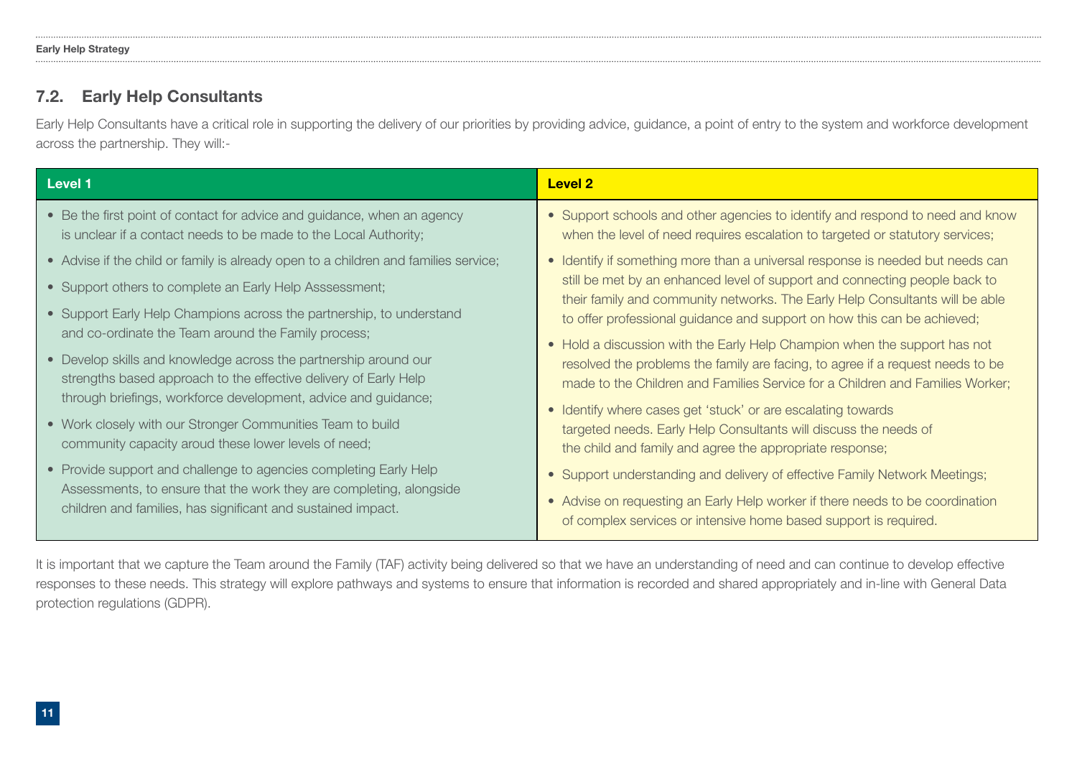### 7.2. Early Help Consultants

Early Help Consultants have a critical role in supporting the delivery of our priorities by providing advice, guidance, a point of entry to the system and workforce development across the partnership. They will:-

| Level 1                                                                                                                                     | <b>Level 2</b>                                                                                                                                                 |
|---------------------------------------------------------------------------------------------------------------------------------------------|----------------------------------------------------------------------------------------------------------------------------------------------------------------|
| • Be the first point of contact for advice and guidance, when an agency<br>is unclear if a contact needs to be made to the Local Authority; | • Support schools and other agencies to identify and respond to need and know<br>when the level of need requires escalation to targeted or statutory services; |
| • Advise if the child or family is already open to a children and families service;                                                         | • Identify if something more than a universal response is needed but needs can                                                                                 |
| • Support others to complete an Early Help Asssessment;                                                                                     | still be met by an enhanced level of support and connecting people back to<br>their family and community networks. The Early Help Consultants will be able     |
| • Support Early Help Champions across the partnership, to understand                                                                        | to offer professional guidance and support on how this can be achieved;                                                                                        |
| and co-ordinate the Team around the Family process;                                                                                         | • Hold a discussion with the Early Help Champion when the support has not                                                                                      |
| • Develop skills and knowledge across the partnership around our                                                                            | resolved the problems the family are facing, to agree if a request needs to be                                                                                 |
| strengths based approach to the effective delivery of Early Help                                                                            | made to the Children and Families Service for a Children and Families Worker;                                                                                  |
| through briefings, workforce development, advice and guidance;                                                                              | • Identify where cases get 'stuck' or are escalating towards                                                                                                   |
| • Work closely with our Stronger Communities Team to build                                                                                  | targeted needs. Early Help Consultants will discuss the needs of                                                                                               |
| community capacity aroud these lower levels of need;                                                                                        | the child and family and agree the appropriate response;                                                                                                       |
| • Provide support and challenge to agencies completing Early Help                                                                           | • Support understanding and delivery of effective Family Network Meetings;                                                                                     |
| Assessments, to ensure that the work they are completing, alongside<br>children and families, has significant and sustained impact.         | • Advise on requesting an Early Help worker if there needs to be coordination                                                                                  |
|                                                                                                                                             | of complex services or intensive home based support is required.                                                                                               |

It is important that we capture the Team around the Family (TAF) activity being delivered so that we have an understanding of need and can continue to develop effective responses to these needs. This strategy will explore pathways and systems to ensure that information is recorded and shared appropriately and in-line with General Data protection regulations (GDPR).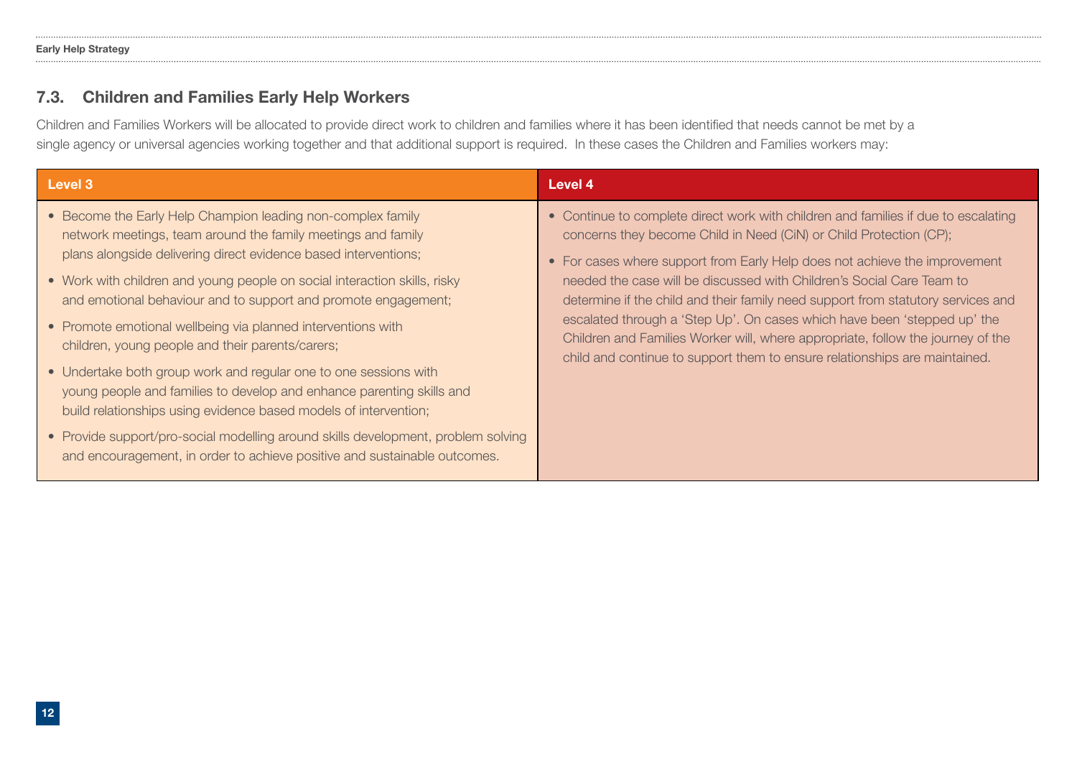### 7.3. Children and Families Early Help Workers

Children and Families Workers will be allocated to provide direct work to children and families where it has been identifed that needs cannot be met by a single agency or universal agencies working together and that additional support is required. In these cases the Children and Families workers may:

| Level 3                                                                                                                                                                                                                                                                                                                                                                                                                                                                                                                                                                                                                                                                                                                                                                                                                                              | Level 4                                                                                                                                                                                                                                                                                                                                                                                                                                                                                                                                                                                                                                          |
|------------------------------------------------------------------------------------------------------------------------------------------------------------------------------------------------------------------------------------------------------------------------------------------------------------------------------------------------------------------------------------------------------------------------------------------------------------------------------------------------------------------------------------------------------------------------------------------------------------------------------------------------------------------------------------------------------------------------------------------------------------------------------------------------------------------------------------------------------|--------------------------------------------------------------------------------------------------------------------------------------------------------------------------------------------------------------------------------------------------------------------------------------------------------------------------------------------------------------------------------------------------------------------------------------------------------------------------------------------------------------------------------------------------------------------------------------------------------------------------------------------------|
| • Become the Early Help Champion leading non-complex family<br>network meetings, team around the family meetings and family<br>plans alongside delivering direct evidence based interventions;<br>• Work with children and young people on social interaction skills, risky<br>and emotional behaviour and to support and promote engagement;<br>• Promote emotional wellbeing via planned interventions with<br>children, young people and their parents/carers;<br>• Undertake both group work and regular one to one sessions with<br>young people and families to develop and enhance parenting skills and<br>build relationships using evidence based models of intervention;<br>• Provide support/pro-social modelling around skills development, problem solving<br>and encouragement, in order to achieve positive and sustainable outcomes. | • Continue to complete direct work with children and families if due to escalating<br>concerns they become Child in Need (CiN) or Child Protection (CP);<br>• For cases where support from Early Help does not achieve the improvement<br>needed the case will be discussed with Children's Social Care Team to<br>determine if the child and their family need support from statutory services and<br>escalated through a 'Step Up'. On cases which have been 'stepped up' the<br>Children and Families Worker will, where appropriate, follow the journey of the<br>child and continue to support them to ensure relationships are maintained. |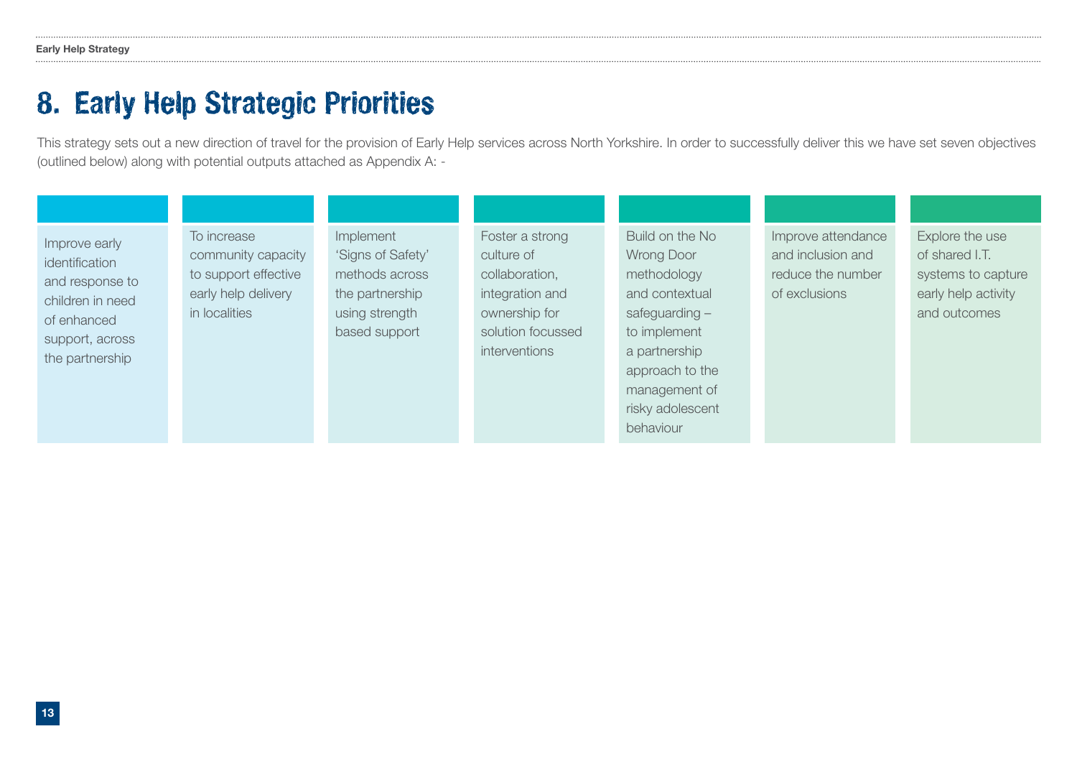### 8. Early Help Strategic Priorities

This strategy sets out a new direction of travel for the provision of Early Help services across North Yorkshire. In order to successfully deliver this we have set seven objectives (outlined below) along with potential outputs attached as Appendix A: -

| Improve early<br>identification<br>and response to<br>children in need<br>of enhanced<br>support, across<br>the partnership | To increase<br>community capacity<br>to support effective<br>early help delivery<br>in localities | Implement<br>'Signs of Safety'<br>methods across<br>the partnership<br>using strength<br>based support | Foster a strong<br>culture of<br>collaboration,<br>integration and<br>ownership for<br>solution focussed<br>interventions | Build on the No<br><b>Wrong Door</b><br>methodology<br>and contextual<br>safeguarding $-$<br>to implement<br>a partnership<br>approach to the<br>management of<br>risky adolescent<br>behaviour | Improve attendance<br>and inclusion and<br>reduce the number<br>of exclusions | Explore the use<br>of shared I.T.<br>systems to capture<br>early help activity<br>and outcomes |
|-----------------------------------------------------------------------------------------------------------------------------|---------------------------------------------------------------------------------------------------|--------------------------------------------------------------------------------------------------------|---------------------------------------------------------------------------------------------------------------------------|-------------------------------------------------------------------------------------------------------------------------------------------------------------------------------------------------|-------------------------------------------------------------------------------|------------------------------------------------------------------------------------------------|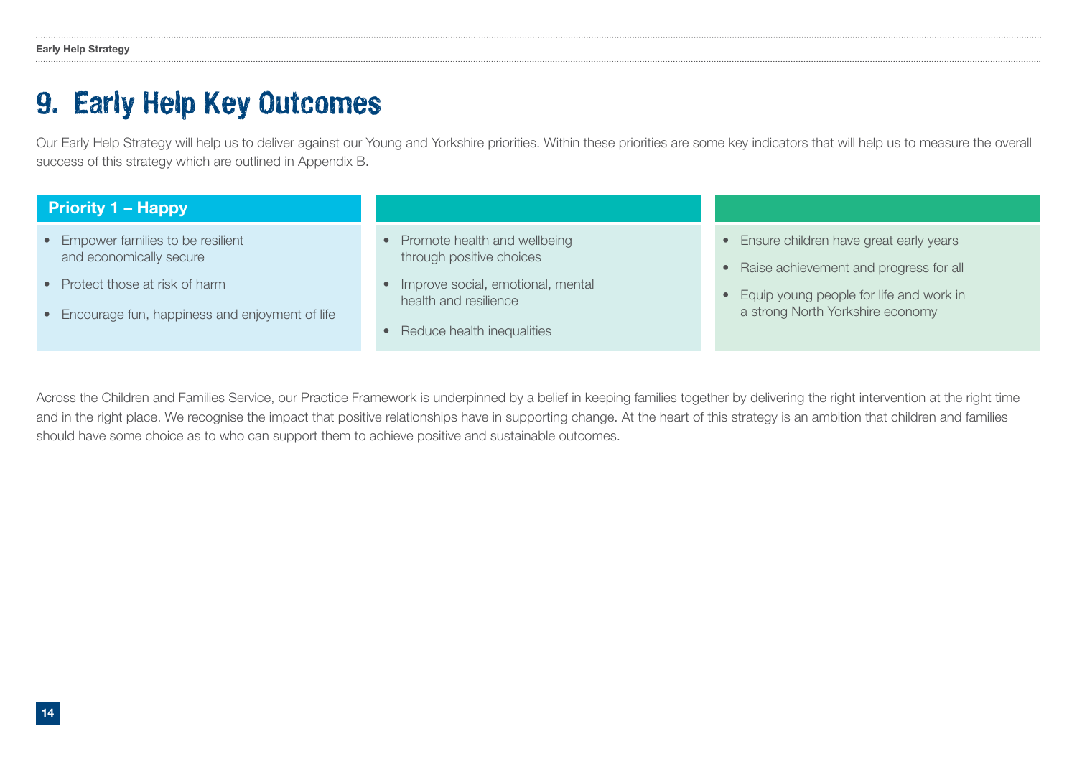### 9. Early Help Key Outcomes

Our Early Help Strategy will help us to deliver against our Young and Yorkshire priorities. Within these priorities are some key indicators that will help us to measure the overall success of this strategy which are outlined in Appendix B.

| <b>Priority 1 – Happy</b>                        |                                   |                                                     |
|--------------------------------------------------|-----------------------------------|-----------------------------------------------------|
| • Empower families to be resilient               | • Promote health and wellbeing    | • Ensure children have great early years            |
| and economically secure                          | through positive choices          | Raise achievement and progress for all<br>$\bullet$ |
| • Protect those at risk of harm                  | Improve social, emotional, mental | Equip young people for life and work in             |
| • Encourage fun, happiness and enjoyment of life | health and resilience             | a strong North Yorkshire economy                    |
|                                                  | • Reduce health inequalities      |                                                     |

Across the Children and Families Service, our Practice Framework is underpinned by a belief in keeping families together by delivering the right intervention at the right time and in the right place. We recognise the impact that positive relationships have in supporting change. At the heart of this strategy is an ambition that children and families should have some choice as to who can support them to achieve positive and sustainable outcomes.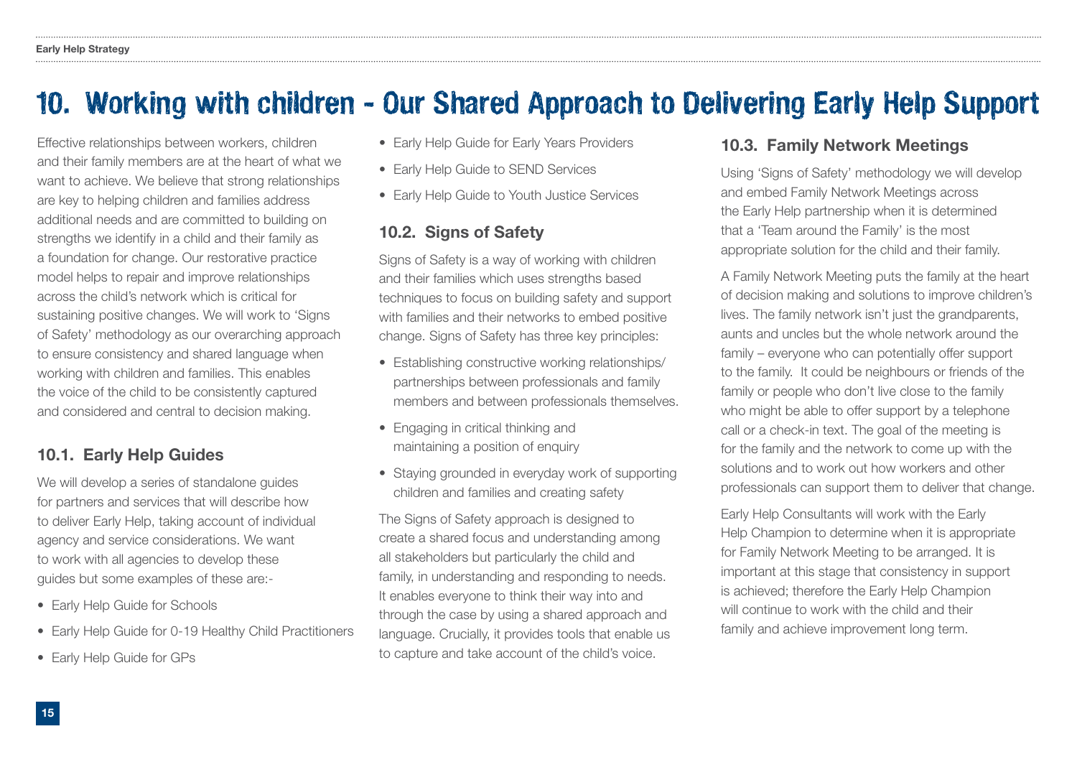### 10. Working with children - Our Shared Approach to Delivering Early Help Support

Effective relationships between workers, children and their family members are at the heart of what we want to achieve. We believe that strong relationships are key to helping children and families address additional needs and are committed to building on strengths we identify in a child and their family as a foundation for change. Our restorative practice model helps to repair and improve relationships across the child's network which is critical for sustaining positive changes. We will work to 'Signs of Safety' methodology as our overarching approach to ensure consistency and shared language when working with children and families. This enables the voice of the child to be consistently captured and considered and central to decision making.

### 10.1. Early Help Guides

We will develop a series of standalone guides for partners and services that will describe how to deliver Early Help, taking account of individual agency and service considerations. We want to work with all agencies to develop these guides but some examples of these are:-

- Early Help Guide for Schools
- Early Help Guide for 0-19 Healthy Child Practitioners
- Early Help Guide for GPs
- Early Help Guide for Early Years Providers
- Early Help Guide to SEND Services
- Early Help Guide to Youth Justice Services

### 10.2. Signs of Safety

Signs of Safety is a way of working with children and their families which uses strengths based techniques to focus on building safety and support with families and their networks to embed positive change. Signs of Safety has three key principles:

- Establishing constructive working relationships/ partnerships between professionals and family members and between professionals themselves.
- Engaging in critical thinking and maintaining a position of enquiry
- Staving grounded in everyday work of supporting children and families and creating safety

The Signs of Safety approach is designed to create a shared focus and understanding among all stakeholders but particularly the child and family, in understanding and responding to needs. It enables everyone to think their way into and through the case by using a shared approach and language. Crucially, it provides tools that enable us to capture and take account of the child's voice.

### 10.3. Family Network Meetings

Using 'Signs of Safety' methodology we will develop and embed Family Network Meetings across the Early Help partnership when it is determined that a 'Team around the Family' is the most appropriate solution for the child and their family.

A Family Network Meeting puts the family at the heart of decision making and solutions to improve children's lives. The family network isn't just the grandparents, aunts and uncles but the whole network around the family – everyone who can potentially offer support to the family. It could be neighbours or friends of the family or people who don't live close to the family who might be able to offer support by a telephone call or a check-in text. The goal of the meeting is for the family and the network to come up with the solutions and to work out how workers and other professionals can support them to deliver that change.

Early Help Consultants will work with the Early Help Champion to determine when it is appropriate for Family Network Meeting to be arranged. It is important at this stage that consistency in support is achieved; therefore the Early Help Champion will continue to work with the child and their family and achieve improvement long term.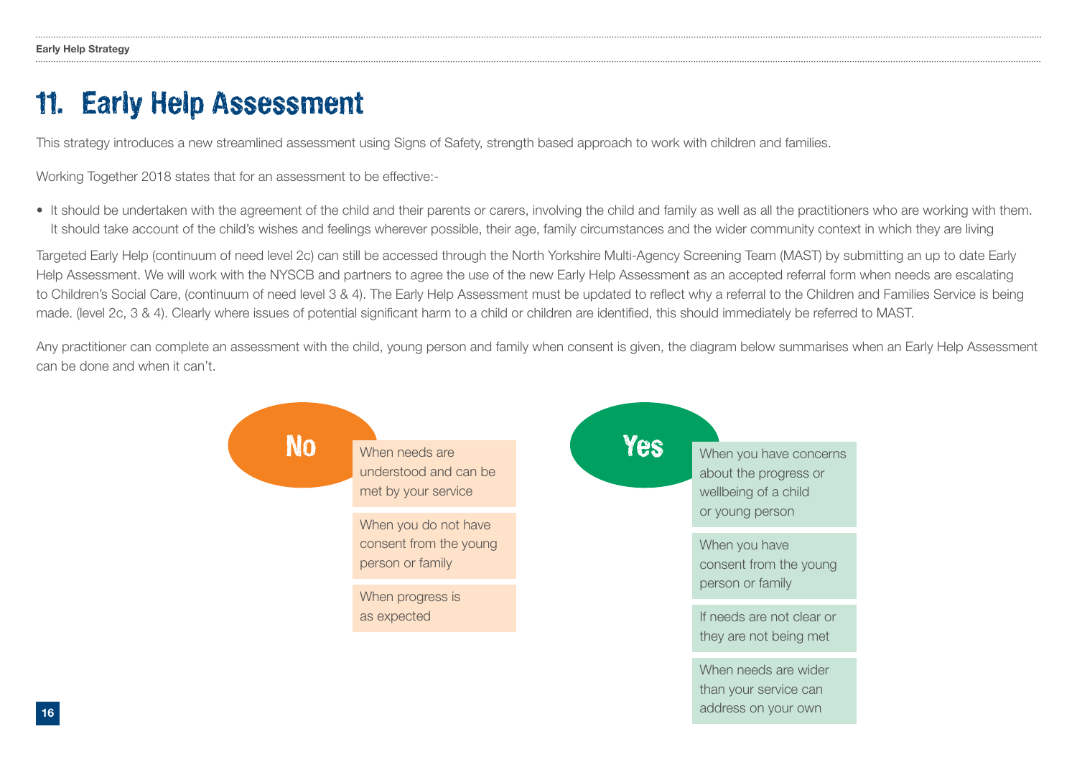### 11. Early Help Assessment

This strategy introduces a new streamlined assessment using Signs of Safety, strength based approach to work with children and families.

Working Together 2018 states that for an assessment to be effective:-

• It should be undertaken with the agreement of the child and their parents or carers, involving the child and family as well as all the practitioners who are working with them. It should take account of the child's wishes and feelings wherever possible, their age, family circumstances and the wider community context in which they are living

Targeted Early Help (continuum of need level 2c) can still be accessed through the North Yorkshire Multi-Agency Screening Team (MAST) by submitting an up to date Early Help Assessment. We will work with the NYSCB and partners to agree the use of the new Early Help Assessment as an accepted referral form when needs are escalating to Children's Social Care, (continuum of need level 3 & 4). The Early Help Assessment must be updated to reflect why a referral to the Children and Families Service is being made. (level 2c, 3 & 4). Clearly where issues of potential significant harm to a child or children are identified, this should immediately be referred to MAST.

Any practitioner can complete an assessment with the child, young person and family when consent is given, the diagram below summarises when an Early Help Assessment can be done and when it can't.

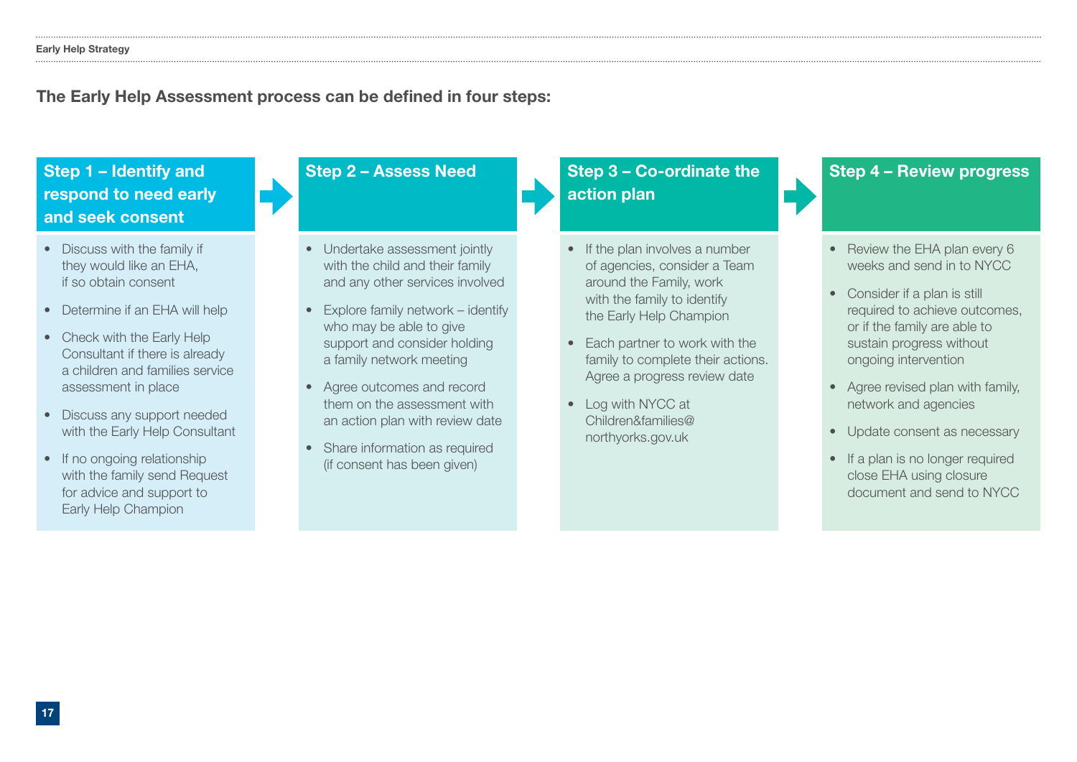### The Early Help Assessment process can be defined in four steps:

Step 1 – Identify and respond to need early and seek consent

- Discuss with the family if they would like an EHA, if so obtain consent
- Determine if an EHA will help
- Check with the Early Help Consultant if there is already a children and families service assessment in place
- Discuss any support needed with the Early Help Consultant
- If no ongoing relationship with the family send Request for advice and support to Early Help Champion

- Undertake assessment jointly with the child and their family and any other services involved
- Explore family network identify who may be able to give support and consider holding a family network meeting
- Agree outcomes and record them on the assessment with an action plan with review date
- Share information as required (if consent has been given)

### Step 2 – Assess Need Step 3 – Co-ordinate the action plan

- If the plan involves a number of agencies, consider a Team around the Family, work with the family to identify the Early Help Champion
- Each partner to work with the family to complete their actions. Agree a progress review date
- Log with NYCC at Children&families@ northyorks.gov.uk

### Step 4 – Review progress

- Review the EHA plan every 6 weeks and send in to NYCC
- Consider if a plan is still required to achieve outcomes, or if the family are able to sustain progress without ongoing intervention
- Agree revised plan with family, network and agencies
- Update consent as necessary
- If a plan is no longer required close EHA using closure document and send to NYCC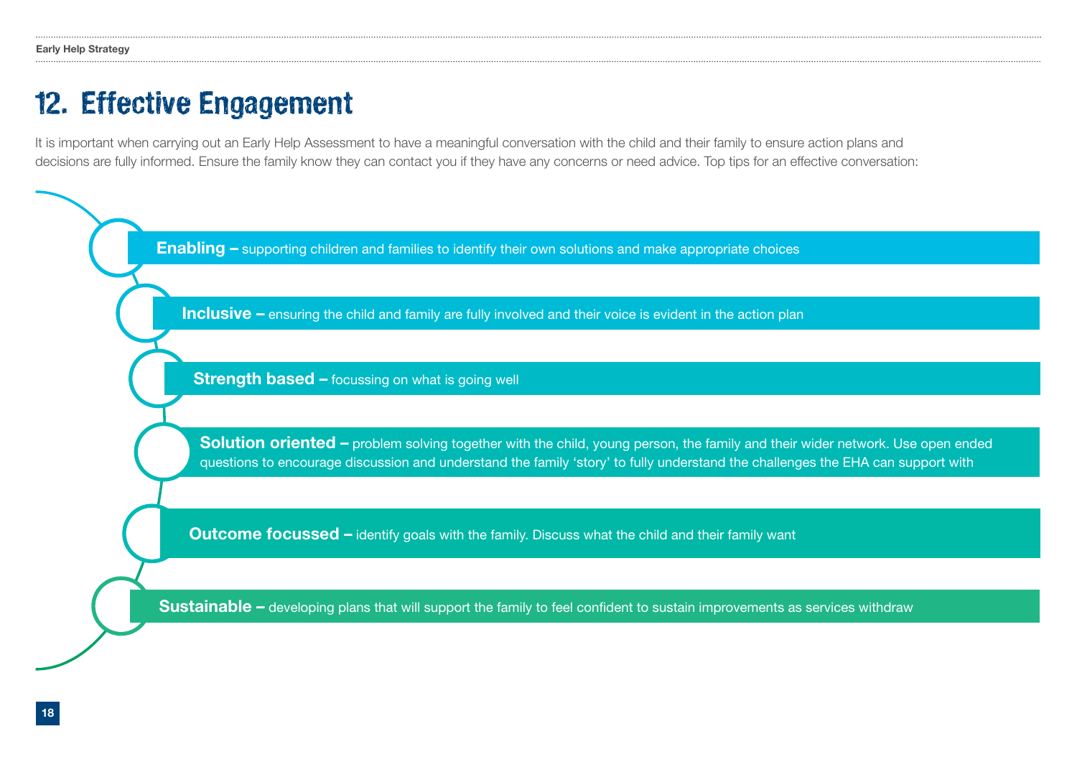### 12. Effective Engagement

It is important when carrying out an Early Help Assessment to have a meaningful conversation with the child and their family to ensure action plans and decisions are fully informed. Ensure the family know they can contact you if they have any concerns or need advice. Top tips for an effective conversation:

Enabling – supporting children and families to identify their own solutions and make appropriate choices

**Inclusive** – ensuring the child and family are fully involved and their voice is evident in the action plan

**Strength based – focussing on what is going well** 

Solution oriented – problem solving together with the child, young person, the family and their wider network. Use open ended questions to encourage discussion and understand the family 'story' to fully understand the challenges the EHA can support with

Outcome focussed – identify goals with the family. Discuss what the child and their family want

Sustainable – developing plans that will support the family to feel confident to sustain improvements as services withdraw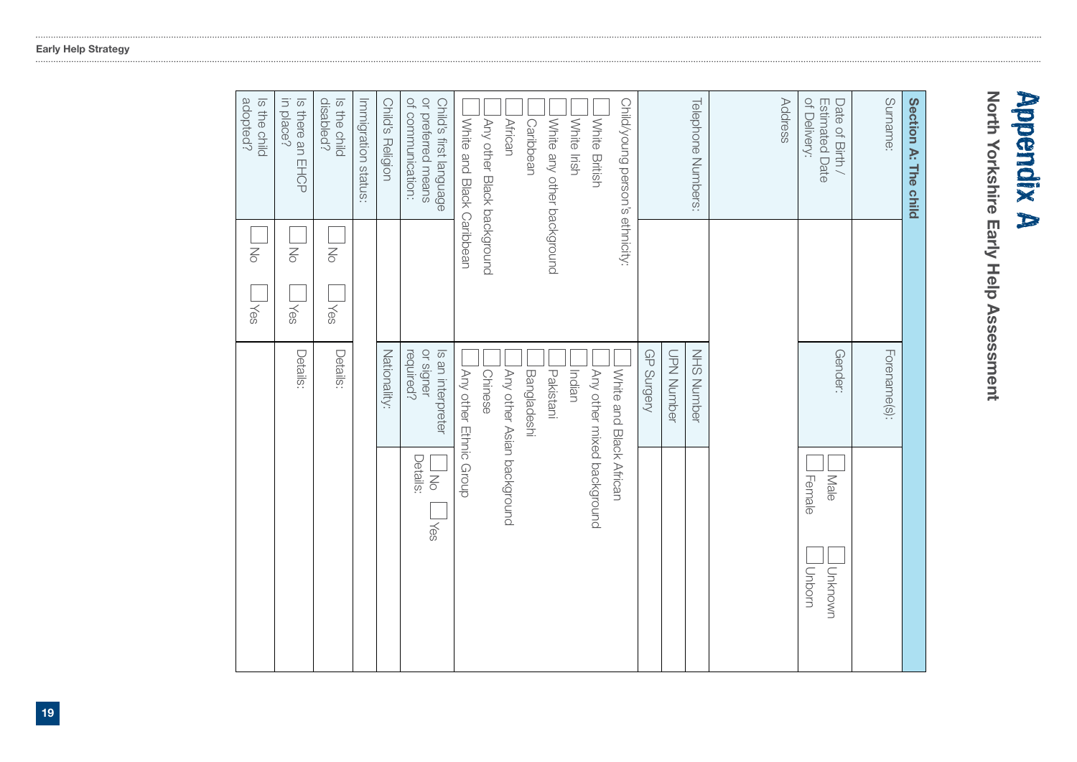# **Appendix A**<br>North Yorkshire Early Help Assessment

North Yorkshire Early Help Assessment

| Section A: The child                                              |                              |                                             |                                             |
|-------------------------------------------------------------------|------------------------------|---------------------------------------------|---------------------------------------------|
| Surname:                                                          |                              | Forename(s):                                |                                             |
| of Delivery:<br>Estimated Date<br>Date of Birth /                 |                              | Gender:                                     | Male<br>Female<br>Unknown<br>Unborn         |
| Address                                                           |                              |                                             |                                             |
| <b>Telephone Numbers:</b>                                         |                              | <b>NHS Number</b>                           |                                             |
|                                                                   |                              | GP Surgery<br>UPN Nunber                    |                                             |
| Child/young person's ethnicity:                                   |                              | White and Black African                     |                                             |
| White British<br>White Irish                                      |                              | Indian<br>Any other mixed background        |                                             |
| White any other background                                        |                              | Pakistani                                   |                                             |
| <b>African</b><br>Caribbean                                       |                              | Any other Asian background<br>Bangladeshi   |                                             |
| Any other Black background                                        |                              | Chinese                                     |                                             |
| White and Black Caribbean                                         |                              | Any other Ethnic Group                      |                                             |
| or preferred means<br>of communication:<br>Child's first language |                              | or signer<br>Is an interpreter<br>required? | Details:<br>$\overline{\leq}$<br><b>Nes</b> |
| Child's Religion                                                  |                              | Nationality:                                |                                             |
| Immigration status:                                               |                              |                                             |                                             |
| disabled?<br>Is the child                                         | <b>NO</b><br><b>Nes</b>      | Details:                                    |                                             |
| in place?<br>Is there an EHCP                                     | <b>No</b><br><b>Nes</b>      | Details:                                    |                                             |
| adopted?<br>Is the child                                          | $\overline{z}$<br><b>Yes</b> |                                             |                                             |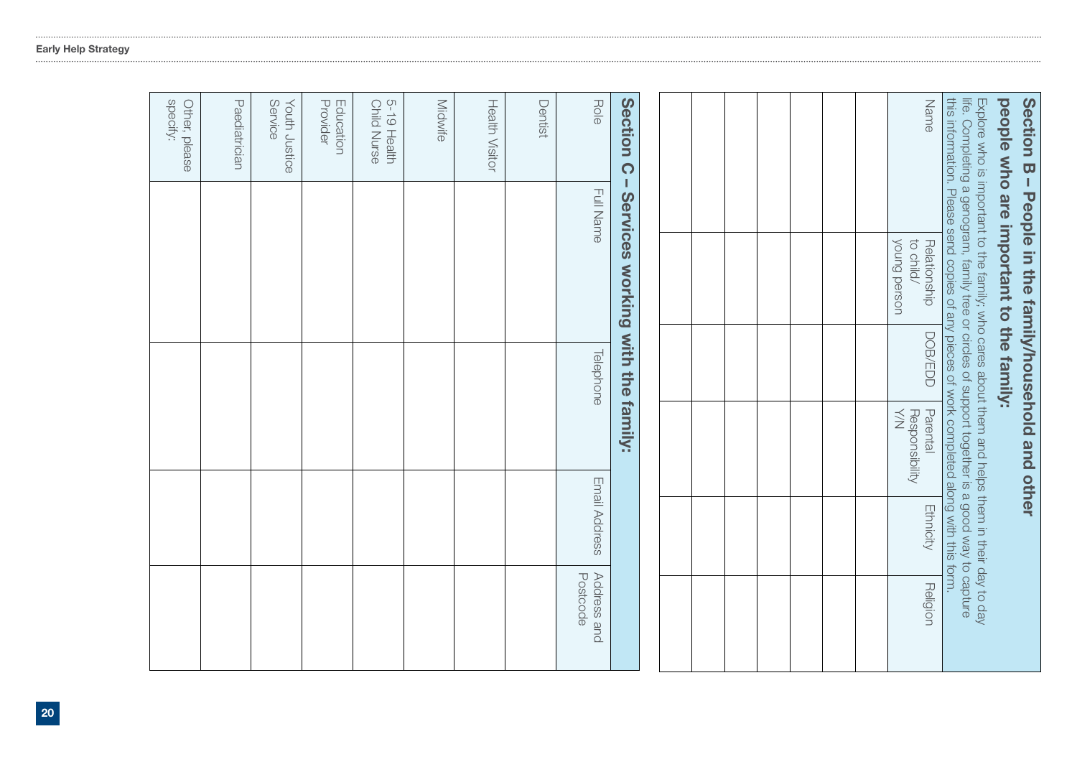## Section B Section B – People in the family/household and other - People in the family/household and other

## people who are important to the family: people who are important to the family:

| <b>Noung person</b><br>to child/<br>Responsibility<br>$\leq$ | Name<br>Relationship<br>DOB/EDD<br>Parental<br>Ethnicity<br>Religion | this shortcrup of the season of any pieces of sock korander appear of this situation.<br>life. Completing a genogram, family tree or circles of support together is a good way to capture<br>Explore who is inportant to the family, who cares about them and helps them in their day to day |
|--------------------------------------------------------------|----------------------------------------------------------------------|----------------------------------------------------------------------------------------------------------------------------------------------------------------------------------------------------------------------------------------------------------------------------------------------|
|--------------------------------------------------------------|----------------------------------------------------------------------|----------------------------------------------------------------------------------------------------------------------------------------------------------------------------------------------------------------------------------------------------------------------------------------------|

|                            | Section C - Services working with the family: |                  |               |                         |
|----------------------------|-----------------------------------------------|------------------|---------------|-------------------------|
| Role                       | <b>Full Name</b>                              | <b>Telephone</b> | Email Address | Address and<br>Postcode |
| Dentist                    |                                               |                  |               |                         |
| <b>Health Visitor</b>      |                                               |                  |               |                         |
| Midwife                    |                                               |                  |               |                         |
| 5-19 Health<br>Child Nurse |                                               |                  |               |                         |
| Provider<br>Education      |                                               |                  |               |                         |
| Youth Justice<br>Service   |                                               |                  |               |                         |
| Paediatrician              |                                               |                  |               |                         |
| specify:<br>Other, please  |                                               |                  |               |                         |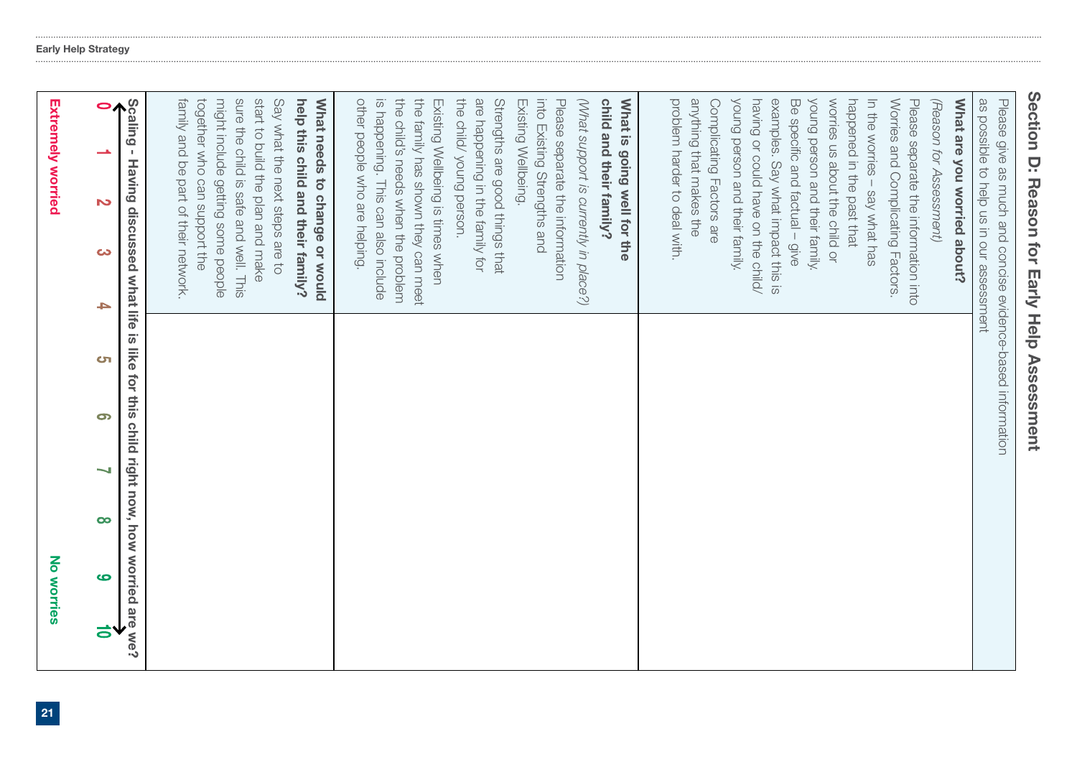|   | No worries                                    |          |   |                                                            |   |                                                                                                                                                                                                                                                                                                                                       |   | <b>Extremely worried</b>                                                                                                                                                                                                                        |  |
|---|-----------------------------------------------|----------|---|------------------------------------------------------------|---|---------------------------------------------------------------------------------------------------------------------------------------------------------------------------------------------------------------------------------------------------------------------------------------------------------------------------------------|---|-------------------------------------------------------------------------------------------------------------------------------------------------------------------------------------------------------------------------------------------------|--|
| る | ဖ                                             | $\infty$ | 9 | <u>ਾ</u>                                                   | Ł | ယ                                                                                                                                                                                                                                                                                                                                     | Z |                                                                                                                                                                                                                                                 |  |
|   | for this child right now, how worried are we? |          |   |                                                            |   | Having discussed what life is like                                                                                                                                                                                                                                                                                                    |   | Scaling<br>$\mathbf I$                                                                                                                                                                                                                          |  |
|   |                                               |          |   |                                                            |   | sure the child is safe and well. This<br>together who can support the<br>might include getting some people<br>start to build the plan and make<br>help this child and their family?<br>family and be part of their network.<br>Say what the next steps are to                                                                         |   |                                                                                                                                                                                                                                                 |  |
|   |                                               |          |   |                                                            |   | What needs to change or would                                                                                                                                                                                                                                                                                                         |   |                                                                                                                                                                                                                                                 |  |
|   |                                               |          |   |                                                            |   | the child's needs when the problem<br>other people who are helping.<br>the family has shown they can meet<br>are happening in the family for<br>Strengths are good things that<br>is happening. This can also include<br>(What support is currently in place?)<br>Existing Wellbeing is times when<br>Please separate the information |   | the child/ young person.<br>into Existing Strengths and<br>child and their family?<br>What is going well for the<br>Existing Wellbeing.                                                                                                         |  |
|   |                                               |          |   |                                                            |   | young person and their family.<br>examples. Say what impact this is<br>young person and their family,<br>What are you worried about?<br>as possible to help us in our assessment<br>having or could have on the child/<br>Worries and Complicating Factors.<br>Please separate the information into                                   |   | problem harder to deal with.<br>anything that makes the<br>worries us about the child or<br>happened in the past that<br>In the worries - say what has<br>Complicating Factors are<br>Be specific and factual - give<br>(Reason for Assessment) |  |
|   |                                               |          |   | Please give as much and concise evidence-based information |   |                                                                                                                                                                                                                                                                                                                                       |   |                                                                                                                                                                                                                                                 |  |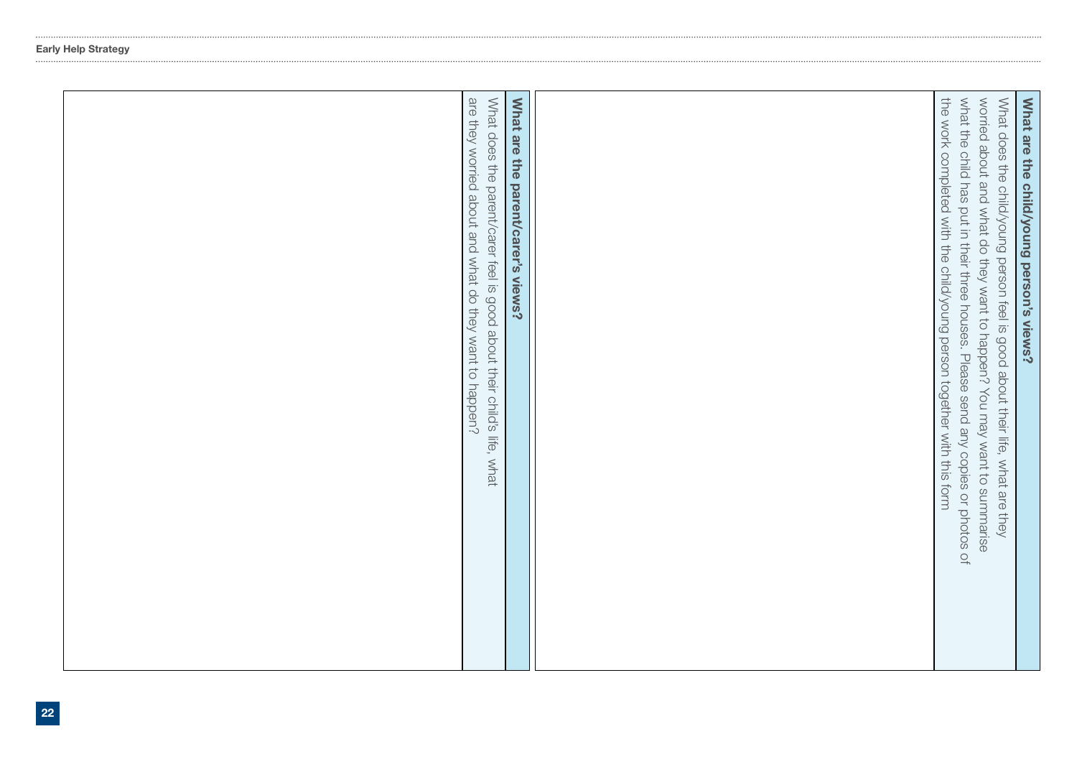|  | are they worried about and what do they want to happen?<br>What does the parent/carer feel is good about their child's life, what<br>What are the parent/carer's views? |  | the work completed with the child/young person together with this form<br>what the child has put in their three houses. Please send any copies or photos of<br>worried about and what do they want to happen? You may want to summarise<br>What does the child/young person feel is good about their life, what are they | What are the child/young person's views? |
|--|-------------------------------------------------------------------------------------------------------------------------------------------------------------------------|--|--------------------------------------------------------------------------------------------------------------------------------------------------------------------------------------------------------------------------------------------------------------------------------------------------------------------------|------------------------------------------|
|--|-------------------------------------------------------------------------------------------------------------------------------------------------------------------------|--|--------------------------------------------------------------------------------------------------------------------------------------------------------------------------------------------------------------------------------------------------------------------------------------------------------------------------|------------------------------------------|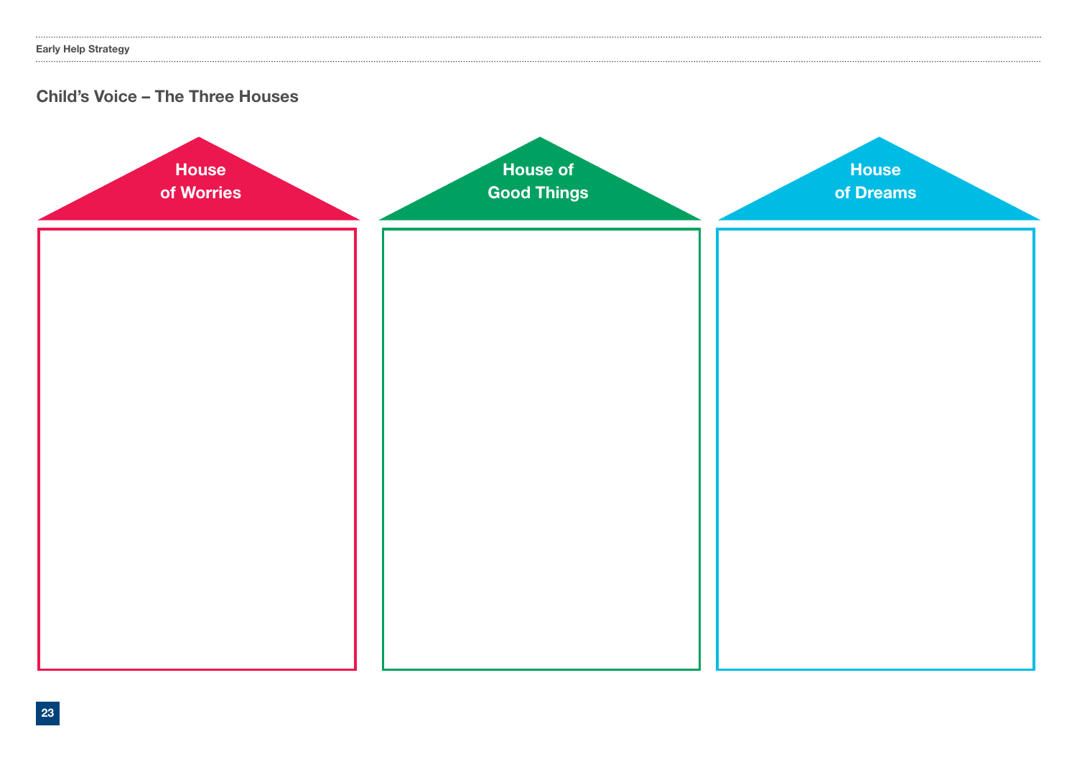........................

### Child's Voice – The Three Houses

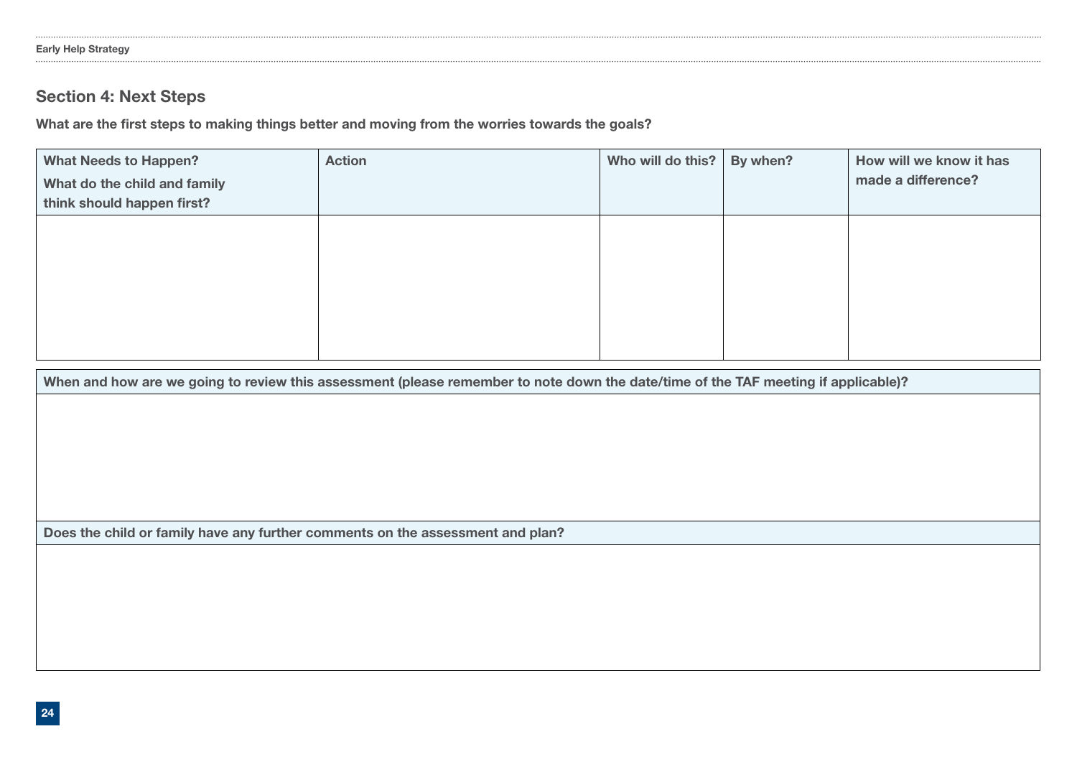### Section 4: Next Steps

What are the first steps to making things better and moving from the worries towards the goals?

| <b>What Needs to Happen?</b><br>What do the child and family<br>think should happen first? | <b>Action</b> | Who will do this? | By when? | How will we know it has<br>made a difference? |
|--------------------------------------------------------------------------------------------|---------------|-------------------|----------|-----------------------------------------------|
|                                                                                            |               |                   |          |                                               |
|                                                                                            |               |                   |          |                                               |
|                                                                                            |               |                   |          |                                               |

When and how are we going to review this assessment (please remember to note down the date/time of the TAF meeting if applicable)?

Does the child or family have any further comments on the assessment and plan?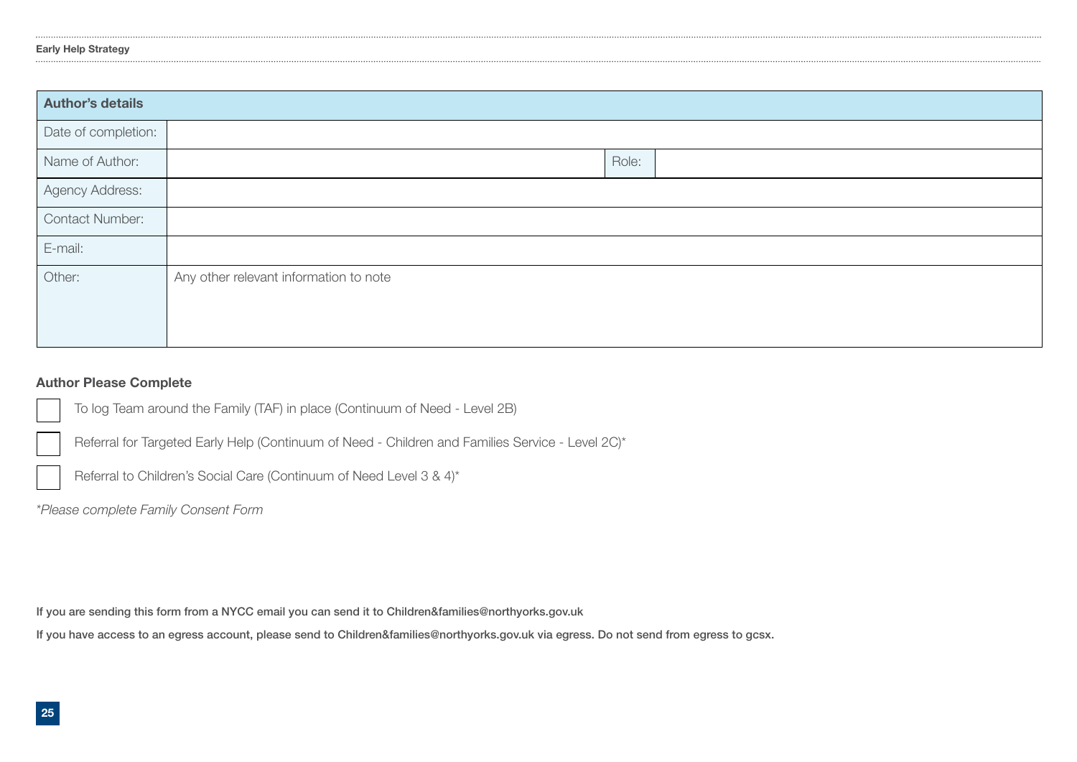| <b>Author's details</b> |                                        |       |  |  |  |  |  |
|-------------------------|----------------------------------------|-------|--|--|--|--|--|
| Date of completion:     |                                        |       |  |  |  |  |  |
| Name of Author:         |                                        | Role: |  |  |  |  |  |
| Agency Address:         |                                        |       |  |  |  |  |  |
| Contact Number:         |                                        |       |  |  |  |  |  |
| E-mail:                 |                                        |       |  |  |  |  |  |
| Other:                  | Any other relevant information to note |       |  |  |  |  |  |
|                         |                                        |       |  |  |  |  |  |
|                         |                                        |       |  |  |  |  |  |

### Author Please Complete

To log Team around the Family (TAF) in place (Continuum of Need - Level 2B)

Referral for Targeted Early Help (Continuum of Need - Children and Families Service - Level 2C)\*

Referral to Children's Social Care (Continuum of Need Level 3 & 4)\*

*\*Please complete Family Consent Form* 

If you are sending this form from a NYCC email you can send it to Children&families@northyorks.gov.uk

If you have access to an egress account, please send to Children&families@northyorks.gov.uk via egress. Do not send from egress to gcsx.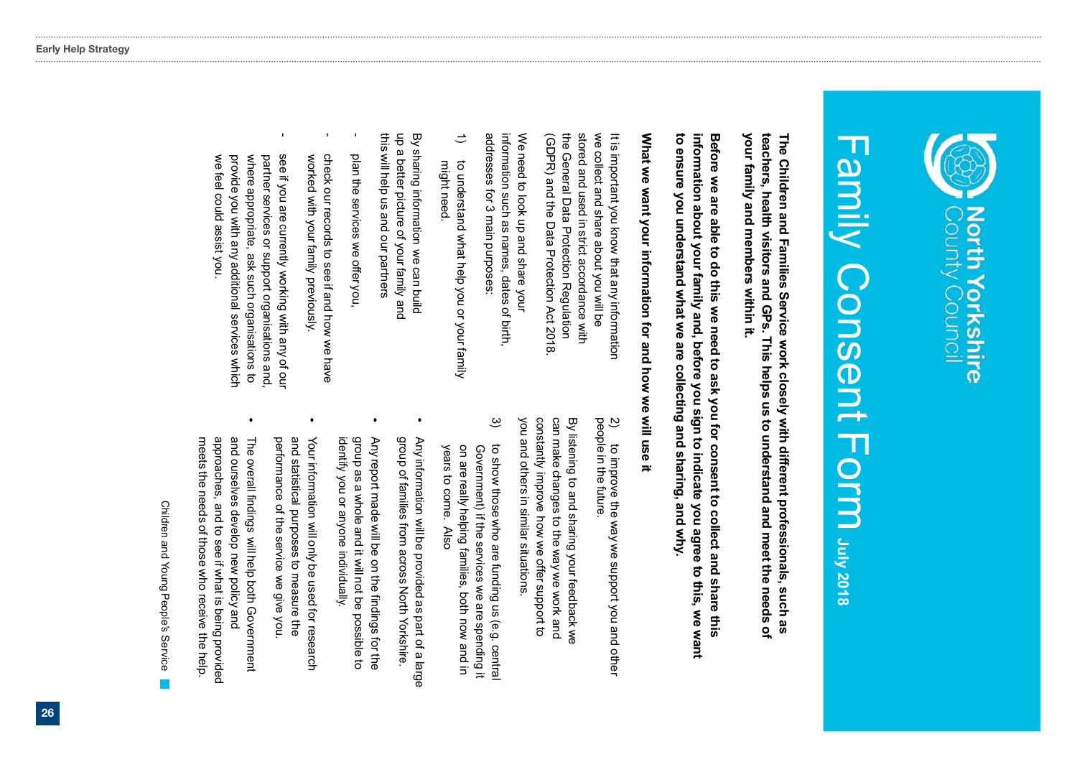

## Family Consent Form July 2018 Family Consent Form **July 2018**

your family and members within it. teachers, health visitors and GPs. This helps us to understand and meet the needs of The Children and Families Service work closely with different professionals, such as **your family and members within it. teachers, health visitors The Children and Families Service work closely with different professionals, such as and GPs. This helps us to understand and meet the needs of** 

to ensure you understand what we are collecting and sharing, and why. information about your family and, before you sign to indicate you agree to this, we want Before we are able to do this we need to ask you for consent to collect and share this **to ensure you understand what we are collecting and sharing, and why. information about your family and, before you sign to indicate you agree to this, we want Before we are able to do this we need to ask you for consent to collect and share this** 

### What we want your information for and how we will use it **What we want your information for and how we will use it**

(GDPR) and the Data Protection Act 2018 the General Data Protection Regulation stored and used in strict accordance with (GDPR) and the Data Protection Act 2018. the General Data Protection Regulation we collect and  $\frac{1}{5}$ important and used in you share about you know that strict accordance with any information  $\stackrel{\le}{=}$ be

We need  $\overline{\circ}$ look 등 and share your information such as names, dates of birth, addresses addresses for 3 main purposes: 3 main purposes:

 $\Rightarrow$ might need  $\overline{\circ}$ might need. understand what help you or your family

چ sharing information we can build up a better picture of your family and this  $\stackrel{\le}{=}$ help us and our partners

- plan the services we offer you,
- check our records to see if and how we have worked with your family previously.
- see if where appropriate, ask such organisations to partner services or support organisations and we where appropriate, provide you partner services feel could assist you are currently with<br>Si or support organisations and, any ask such organisations to you. additional working services with<br>Wit any which ቧ our

 $\tilde{2}$ to improve the way we support you and other improve the way we support you and other people in the future in the future.

you and others in similar situations constantly improve how we offer support to constantly improve how we offer support to can make چ listening to and others in changes an<br>2 similar situations. sharing to the way your feedback we we work and

- $\hat{\mathbf{e}}$ to show those who are funding us (e.g. central years to come. on are really helping families, both now and in Government) if the services we are spending it on are really Government) to show those who are funding us to come. Also helping families, both now and in if the services Also we are spending (e.g. central
- Any information  $\stackrel{\leq}{=}$ be provided as part of a large group ቧ families from across North Yorkshire.
- Any report made  $\stackrel{\le}{=}$ ន on the findings for the group as a whole and it will not be possible to identify you identify you or anyone individually anyone individually.
- Your information  $\stackrel{\leq}{=}$ only be used for research and statistical purposes to measure the statistical purposes to measure the performance of the service ຸ<br>ຈ give you.
- The overall findings will The overall findings will help both Government both Government and<br>D ourselves develop new policy and approaches, a<br>D to see if what is being provided meets the needs of those who receive meets the needs of those who receive the help

Children and Young People's Service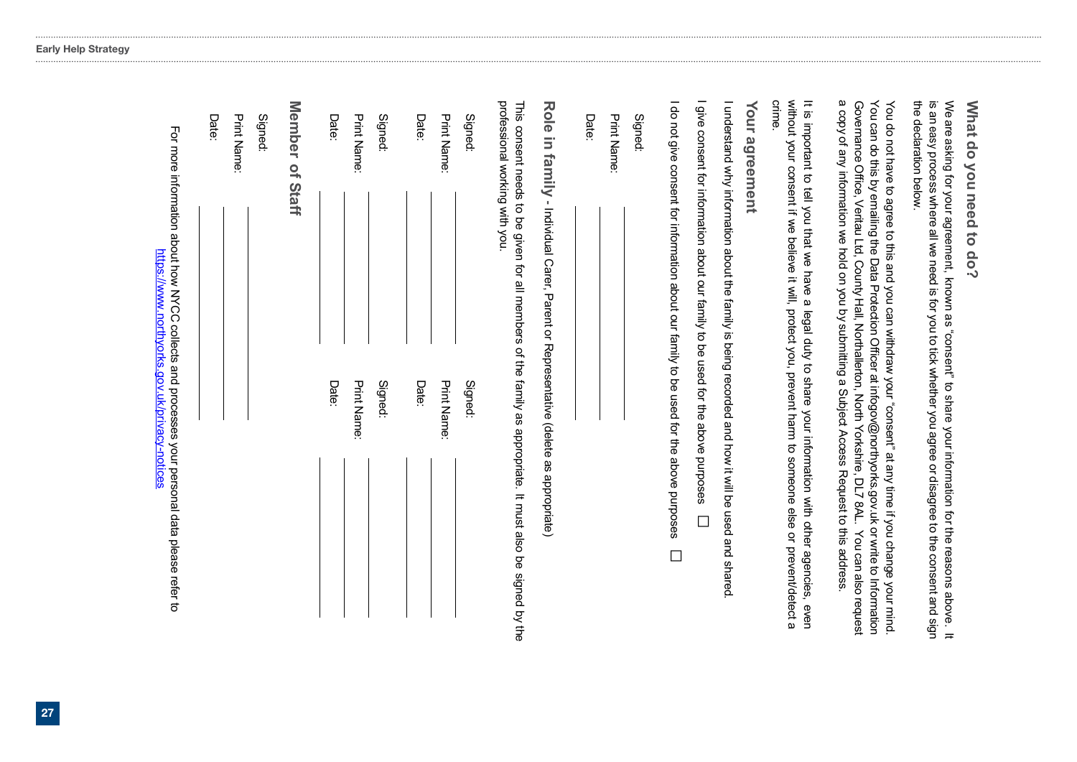|                                                                                                                                                                                                                           |                                                                                                                                                                                                                                                                                                                                                                                                                       | Date:                          |
|---------------------------------------------------------------------------------------------------------------------------------------------------------------------------------------------------------------------------|-----------------------------------------------------------------------------------------------------------------------------------------------------------------------------------------------------------------------------------------------------------------------------------------------------------------------------------------------------------------------------------------------------------------------|--------------------------------|
|                                                                                                                                                                                                                           |                                                                                                                                                                                                                                                                                                                                                                                                                       | <b>Print Name:</b>             |
|                                                                                                                                                                                                                           |                                                                                                                                                                                                                                                                                                                                                                                                                       | Signed:                        |
|                                                                                                                                                                                                                           |                                                                                                                                                                                                                                                                                                                                                                                                                       | <b>Member</b><br>of Staff      |
|                                                                                                                                                                                                                           | Date:                                                                                                                                                                                                                                                                                                                                                                                                                 | Date:                          |
|                                                                                                                                                                                                                           | <b>Print Name:</b>                                                                                                                                                                                                                                                                                                                                                                                                    | Print Name:                    |
|                                                                                                                                                                                                                           | Signed:                                                                                                                                                                                                                                                                                                                                                                                                               | Signed:                        |
|                                                                                                                                                                                                                           | Date:                                                                                                                                                                                                                                                                                                                                                                                                                 | Date:                          |
|                                                                                                                                                                                                                           | <b>Print Name:</b>                                                                                                                                                                                                                                                                                                                                                                                                    | <b>Print Name:</b>             |
|                                                                                                                                                                                                                           | Signed:                                                                                                                                                                                                                                                                                                                                                                                                               | Signed:                        |
| This consent needs to be given for all members of the family as appropriate. It must also be signed by the                                                                                                                | Role in family - Individual Carer, Parent or Representative (delete as appropriate)                                                                                                                                                                                                                                                                                                                                   | professional working with you. |
|                                                                                                                                                                                                                           |                                                                                                                                                                                                                                                                                                                                                                                                                       | Date:                          |
|                                                                                                                                                                                                                           |                                                                                                                                                                                                                                                                                                                                                                                                                       | <b>Print Name:</b>             |
|                                                                                                                                                                                                                           |                                                                                                                                                                                                                                                                                                                                                                                                                       | Signed:                        |
| $\Box$                                                                                                                                                                                                                    | I do not give consent for information about our family to be used for the above purposes                                                                                                                                                                                                                                                                                                                              |                                |
| $\Box$                                                                                                                                                                                                                    | I give consent for information about our family to be used for the above purposes                                                                                                                                                                                                                                                                                                                                     |                                |
|                                                                                                                                                                                                                           | I understand why information about the family is being recorded and how it will be used and shared                                                                                                                                                                                                                                                                                                                    |                                |
|                                                                                                                                                                                                                           |                                                                                                                                                                                                                                                                                                                                                                                                                       | Your agreement                 |
|                                                                                                                                                                                                                           | without consent if we believe it will, protect you, prevent harm to someone else or prevent/detect a<br>It is important to tell you that we have a legal duty to share your information with other agencies, even                                                                                                                                                                                                     | crime                          |
| You can also request                                                                                                                                                                                                      | You can do this by emailing the Data Protection Officer at infogov@northyorks.gov.uk or write to Information<br>a copy of any information we hold on you by submitting a Subject Access Request to this address<br>Governance Office, Veritau Ltd, County Hall, Northallerton, North Yorkshire, DL7 8AL.<br>You do not have to agree to this and you can withdraw your "consent" at any time if you change your mind. |                                |
| is an easy process where all we need is for you to tick whether you agree or disagree to the consent and sign<br>We are asking for your agreement, known as "consent" to share your information for the reasons above. It |                                                                                                                                                                                                                                                                                                                                                                                                                       | the declaration beloxy         |
|                                                                                                                                                                                                                           |                                                                                                                                                                                                                                                                                                                                                                                                                       | What do you need to do?        |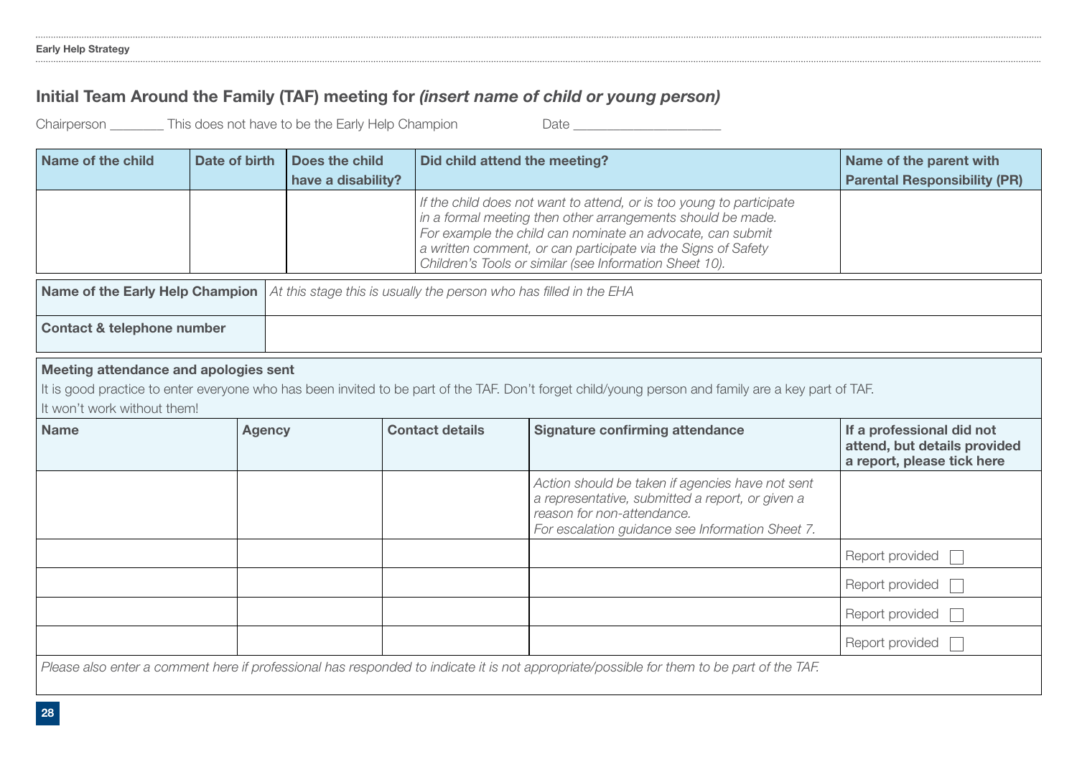### Initial Team Around the Family (TAF) meeting for *(insert name of child or young person)*

Chairperson \_\_\_\_\_\_\_\_ This does not have to be the Early Help Champion Date \_\_\_\_\_\_\_\_\_\_\_\_\_\_\_\_\_\_\_\_\_\_

| Name of the child                                                                                                                                                                                                           | Date of birth | Does the child<br>have a disability? | Did child attend the meeting? |                                                                                                                                                                                                                                                                                                                               | Name of the parent with<br><b>Parental Responsibility (PR)</b>                          |  |
|-----------------------------------------------------------------------------------------------------------------------------------------------------------------------------------------------------------------------------|---------------|--------------------------------------|-------------------------------|-------------------------------------------------------------------------------------------------------------------------------------------------------------------------------------------------------------------------------------------------------------------------------------------------------------------------------|-----------------------------------------------------------------------------------------|--|
|                                                                                                                                                                                                                             |               |                                      |                               | If the child does not want to attend, or is too young to participate<br>in a formal meeting then other arrangements should be made.<br>For example the child can nominate an advocate, can submit<br>a written comment, or can participate via the Signs of Safety<br>Children's Tools or similar (see Information Sheet 10). |                                                                                         |  |
| Name of the Early Help Champion<br>At this stage this is usually the person who has filled in the EHA                                                                                                                       |               |                                      |                               |                                                                                                                                                                                                                                                                                                                               |                                                                                         |  |
| <b>Contact &amp; telephone number</b>                                                                                                                                                                                       |               |                                      |                               |                                                                                                                                                                                                                                                                                                                               |                                                                                         |  |
| Meeting attendance and apologies sent<br>It is good practice to enter everyone who has been invited to be part of the TAF. Don't forget child/young person and family are a key part of TAF.<br>It won't work without them! |               |                                      |                               |                                                                                                                                                                                                                                                                                                                               |                                                                                         |  |
| <b>Name</b>                                                                                                                                                                                                                 | <b>Agency</b> |                                      | <b>Contact details</b>        | <b>Signature confirming attendance</b>                                                                                                                                                                                                                                                                                        | If a professional did not<br>attend, but details provided<br>a report, please tick here |  |
|                                                                                                                                                                                                                             |               |                                      |                               | Action should be taken if agencies have not sent<br>a representative, submitted a report, or given a<br>reason for non-attendance.<br>For escalation guidance see Information Sheet 7.                                                                                                                                        |                                                                                         |  |
|                                                                                                                                                                                                                             |               |                                      | Report provided               |                                                                                                                                                                                                                                                                                                                               |                                                                                         |  |
|                                                                                                                                                                                                                             |               |                                      |                               |                                                                                                                                                                                                                                                                                                                               | Report provided                                                                         |  |
|                                                                                                                                                                                                                             |               |                                      |                               | Report provided                                                                                                                                                                                                                                                                                                               |                                                                                         |  |
|                                                                                                                                                                                                                             |               |                                      |                               |                                                                                                                                                                                                                                                                                                                               | Report provided                                                                         |  |
| Please also enter a comment here if professional has responded to indicate it is not appropriate/possible for them to be part of the TAF.                                                                                   |               |                                      |                               |                                                                                                                                                                                                                                                                                                                               |                                                                                         |  |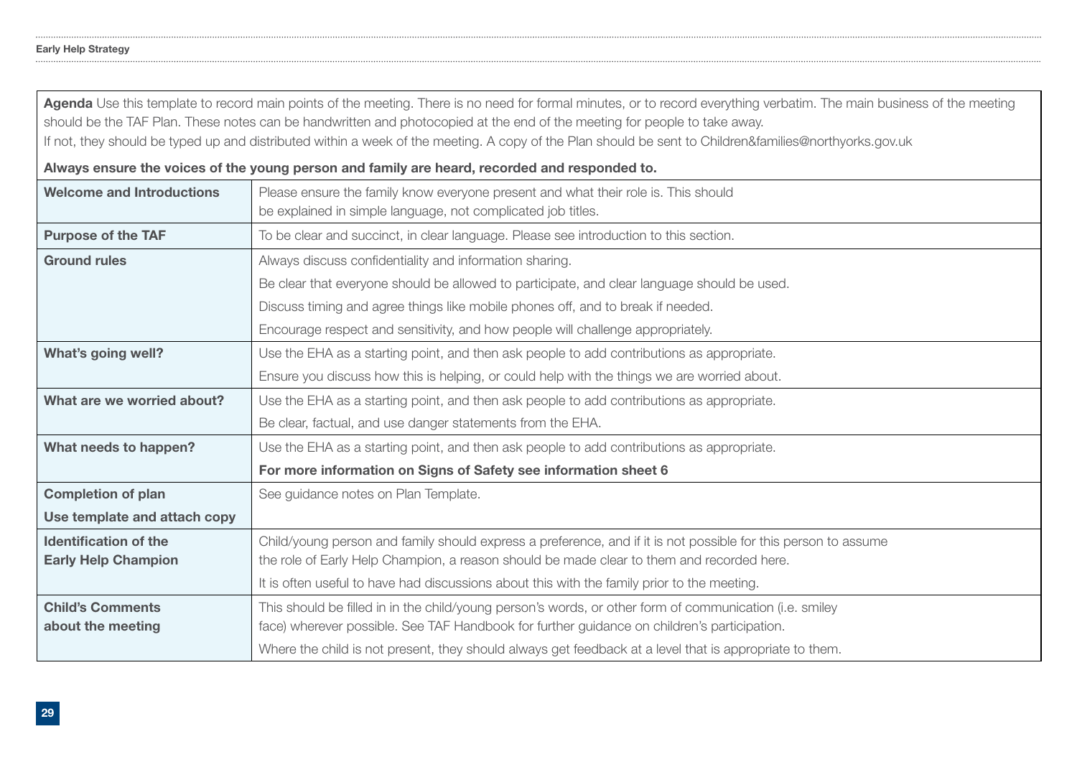|                                  | Agenda Use this template to record main points of the meeting. There is no need for formal minutes, or to record everything verbatim. The main business of the meeting |  |  |  |  |  |  |  |  |
|----------------------------------|------------------------------------------------------------------------------------------------------------------------------------------------------------------------|--|--|--|--|--|--|--|--|
|                                  | should be the TAF Plan. These notes can be handwritten and photocopied at the end of the meeting for people to take away.                                              |  |  |  |  |  |  |  |  |
|                                  | If not, they should be typed up and distributed within a week of the meeting. A copy of the Plan should be sent to Children&families@northyorks.gov.uk                 |  |  |  |  |  |  |  |  |
|                                  | Always ensure the voices of the young person and family are heard, recorded and responded to.                                                                          |  |  |  |  |  |  |  |  |
| <b>Welcome and Introductions</b> | Please ensure the family know everyone present and what their role is. This should                                                                                     |  |  |  |  |  |  |  |  |
|                                  | be explained in simple language, not complicated job titles.                                                                                                           |  |  |  |  |  |  |  |  |
| <b>Purpose of the TAF</b>        | To be clear and succinct, in clear language. Please see introduction to this section.                                                                                  |  |  |  |  |  |  |  |  |
| <b>Ground rules</b>              | Always discuss confidentiality and information sharing.                                                                                                                |  |  |  |  |  |  |  |  |
|                                  | Be clear that everyone should be allowed to participate, and clear language should be used.                                                                            |  |  |  |  |  |  |  |  |
|                                  | Discuss timing and agree things like mobile phones off, and to break if needed.                                                                                        |  |  |  |  |  |  |  |  |
|                                  | Encourage respect and sensitivity, and how people will challenge appropriately.                                                                                        |  |  |  |  |  |  |  |  |
| What's going well?               | Use the EHA as a starting point, and then ask people to add contributions as appropriate.                                                                              |  |  |  |  |  |  |  |  |
|                                  | Ensure you discuss how this is helping, or could help with the things we are worried about.                                                                            |  |  |  |  |  |  |  |  |
| What are we worried about?       | Use the EHA as a starting point, and then ask people to add contributions as appropriate.                                                                              |  |  |  |  |  |  |  |  |
|                                  | Be clear, factual, and use danger statements from the EHA.                                                                                                             |  |  |  |  |  |  |  |  |
| What needs to happen?            | Use the EHA as a starting point, and then ask people to add contributions as appropriate.                                                                              |  |  |  |  |  |  |  |  |
|                                  | For more information on Signs of Safety see information sheet 6                                                                                                        |  |  |  |  |  |  |  |  |
| <b>Completion of plan</b>        | See guidance notes on Plan Template.                                                                                                                                   |  |  |  |  |  |  |  |  |
| Use template and attach copy     |                                                                                                                                                                        |  |  |  |  |  |  |  |  |
| <b>Identification of the</b>     | Child/young person and family should express a preference, and if it is not possible for this person to assume                                                         |  |  |  |  |  |  |  |  |
| <b>Early Help Champion</b>       | the role of Early Help Champion, a reason should be made clear to them and recorded here.                                                                              |  |  |  |  |  |  |  |  |
|                                  | It is often useful to have had discussions about this with the family prior to the meeting.                                                                            |  |  |  |  |  |  |  |  |
| <b>Child's Comments</b>          | This should be filled in in the child/young person's words, or other form of communication (i.e. smiley                                                                |  |  |  |  |  |  |  |  |
| about the meeting                | face) wherever possible. See TAF Handbook for further guidance on children's participation.                                                                            |  |  |  |  |  |  |  |  |
|                                  | Where the child is not present, they should always get feedback at a level that is appropriate to them.                                                                |  |  |  |  |  |  |  |  |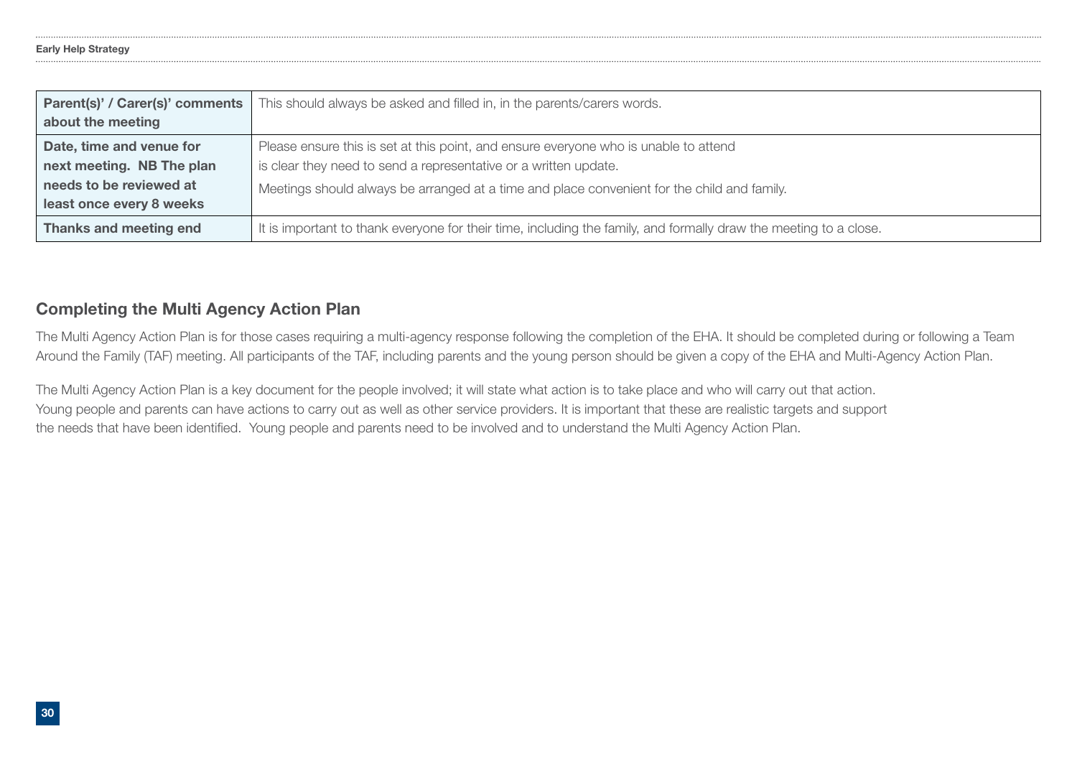| Parent(s)' / Carer(s)' comments | This should always be asked and filled in, in the parents/carers words.                                           |
|---------------------------------|-------------------------------------------------------------------------------------------------------------------|
| about the meeting               |                                                                                                                   |
| Date, time and venue for        | Please ensure this is set at this point, and ensure everyone who is unable to attend                              |
| next meeting. NB The plan       | is clear they need to send a representative or a written update.                                                  |
| needs to be reviewed at         | Meetings should always be arranged at a time and place convenient for the child and family.                       |
| least once every 8 weeks        |                                                                                                                   |
| Thanks and meeting end          | It is important to thank everyone for their time, including the family, and formally draw the meeting to a close. |

### Completing the Multi Agency Action Plan

The Multi Agency Action Plan is for those cases requiring a multi-agency response following the completion of the EHA. It should be completed during or following a Team Around the Family (TAF) meeting. All participants of the TAF, including parents and the young person should be given a copy of the EHA and Multi-Agency Action Plan.

The Multi Agency Action Plan is a key document for the people involved; it will state what action is to take place and who will carry out that action. Young people and parents can have actions to carry out as well as other service providers. It is important that these are realistic targets and support the needs that have been identifed. Young people and parents need to be involved and to understand the Multi Agency Action Plan.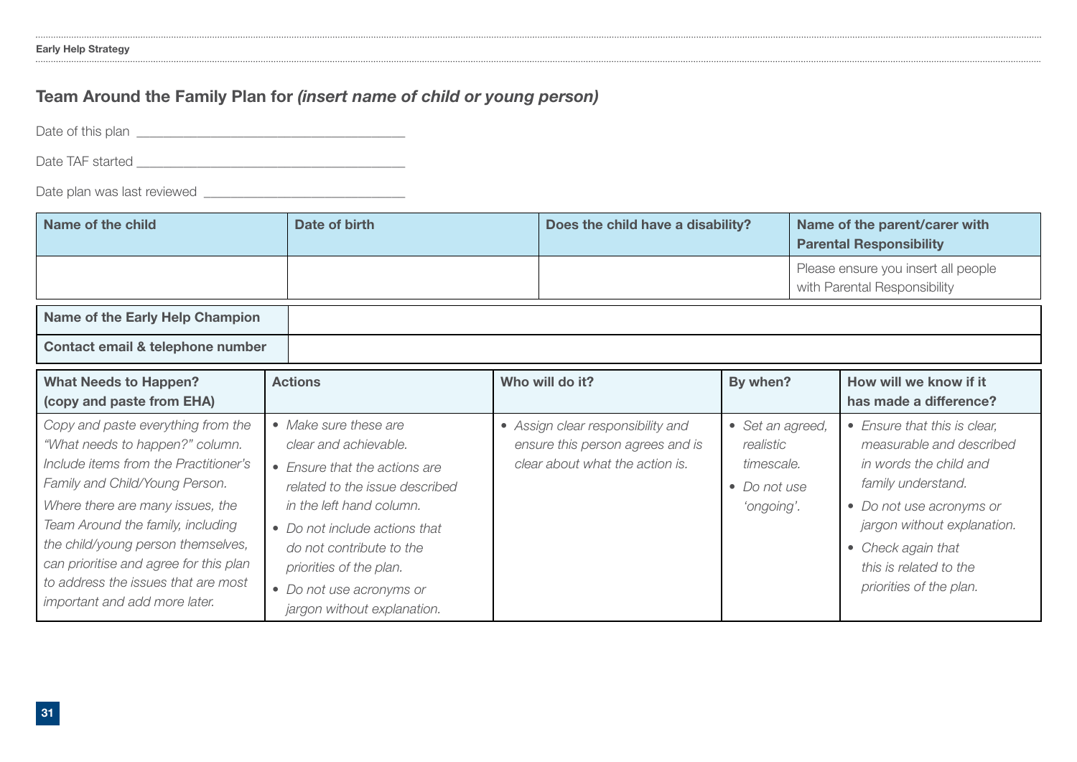### Team Around the Family Plan for *(insert name of child or young person)*

Date of this plan

Date TAF started \_\_\_\_\_\_\_\_\_\_\_\_\_\_\_\_\_\_\_\_\_\_\_\_\_\_\_\_\_\_\_\_\_\_\_\_\_\_\_\_

Date plan was last reviewed \_\_\_\_\_\_\_\_\_\_\_\_\_\_\_\_\_\_\_\_\_\_\_\_\_\_\_\_\_\_

| Name of the child                                                                                                                                                                                                                                                                                                                                                                 | Date of birth                                                                                                                                                                                                                                                                                    | Does the child have a disability?<br>Name of the parent/carer with<br><b>Parental Responsibility</b> |                                                                                                          |                                                                           |                                                                     |                                                                                                                                                                                                                                                |
|-----------------------------------------------------------------------------------------------------------------------------------------------------------------------------------------------------------------------------------------------------------------------------------------------------------------------------------------------------------------------------------|--------------------------------------------------------------------------------------------------------------------------------------------------------------------------------------------------------------------------------------------------------------------------------------------------|------------------------------------------------------------------------------------------------------|----------------------------------------------------------------------------------------------------------|---------------------------------------------------------------------------|---------------------------------------------------------------------|------------------------------------------------------------------------------------------------------------------------------------------------------------------------------------------------------------------------------------------------|
|                                                                                                                                                                                                                                                                                                                                                                                   |                                                                                                                                                                                                                                                                                                  |                                                                                                      |                                                                                                          |                                                                           | Please ensure you insert all people<br>with Parental Responsibility |                                                                                                                                                                                                                                                |
| Name of the Early Help Champion                                                                                                                                                                                                                                                                                                                                                   |                                                                                                                                                                                                                                                                                                  |                                                                                                      |                                                                                                          |                                                                           |                                                                     |                                                                                                                                                                                                                                                |
| Contact email & telephone number                                                                                                                                                                                                                                                                                                                                                  |                                                                                                                                                                                                                                                                                                  |                                                                                                      |                                                                                                          |                                                                           |                                                                     |                                                                                                                                                                                                                                                |
| <b>What Needs to Happen?</b><br>(copy and paste from EHA)                                                                                                                                                                                                                                                                                                                         | <b>Actions</b>                                                                                                                                                                                                                                                                                   |                                                                                                      | Who will do it?                                                                                          | By when?                                                                  |                                                                     | How will we know if it<br>has made a difference?                                                                                                                                                                                               |
| Copy and paste everything from the<br>"What needs to happen?" column.<br>Include items from the Practitioner's<br>Family and Child/Young Person.<br>Where there are many issues, the<br>Team Around the family, including<br>the child/young person themselves,<br>can prioritise and agree for this plan<br>to address the issues that are most<br>important and add more later. | • Make sure these are<br>clear and achievable.<br>• Ensure that the actions are<br>related to the issue described<br>in the left hand column.<br>• Do not include actions that<br>do not contribute to the<br>priorities of the plan.<br>• Do not use acronyms or<br>jargon without explanation. |                                                                                                      | • Assign clear responsibility and<br>ensure this person agrees and is<br>clear about what the action is. | • Set an agreed,<br>realistic<br>timescale.<br>• Do not use<br>'ongoing'. |                                                                     | • Ensure that this is clear,<br>measurable and described<br>in words the child and<br>family understand.<br>• Do not use acronyms or<br>jargon without explanation.<br>• Check again that<br>this is related to the<br>priorities of the plan. |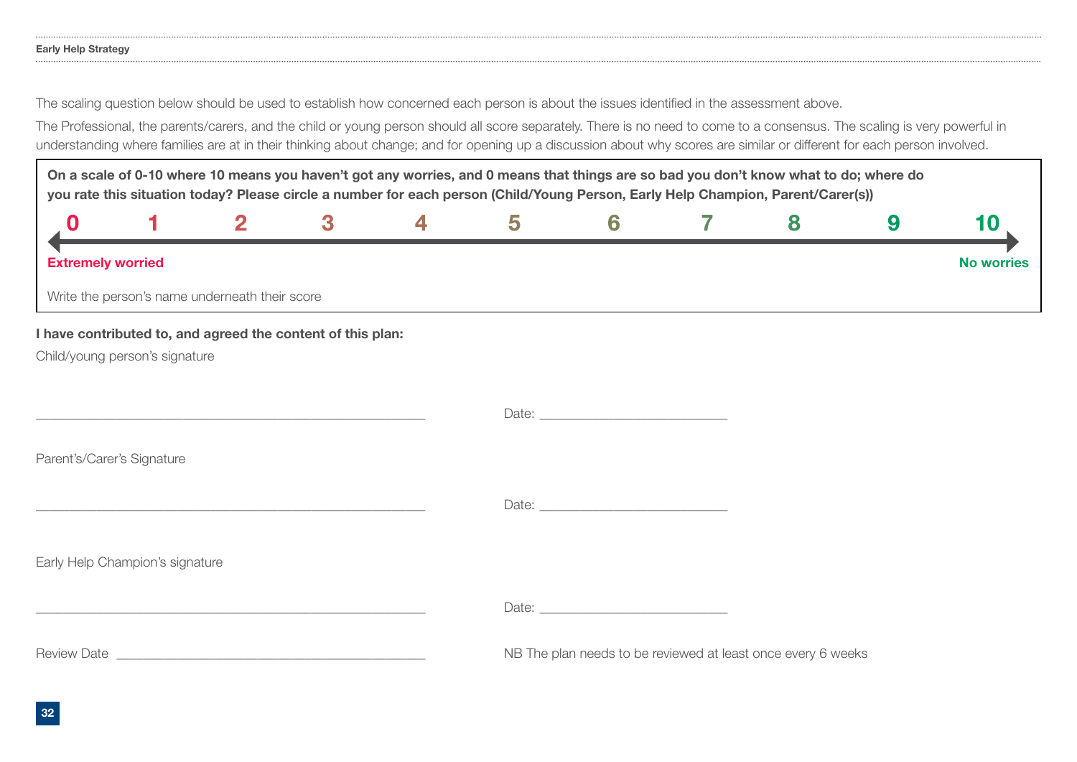### Early Help Strategy

The scaling question below should be used to establish how concerned each person is about the issues identifed in the assessment above.

The Professional, the parents/carers, and the child or young person should all score separately. There is no need to come to a consensus. The scaling is very powerful in understanding where families are at in their thinking about change; and for opening up a discussion about why scores are similar or different for each person involved.

On a scale of 0-10 where 10 means you haven't got any worries, and 0 means that things are so bad you don't know what to do; where do you rate this situation today? Please circle a number for each person (Child/Young Person, Early Help Champion, Parent/Carer(s))

| <b>Extremely worried</b> |                                                |  |  |  | No worries |
|--------------------------|------------------------------------------------|--|--|--|------------|
|                          | Write the person's name underneath their score |  |  |  |            |

### I have contributed to, and agreed the content of this plan:

Child/young person's signature

Date:

Parent's/Carer's Signature

Date:  $\Box$ 

Early Help Champion's signature

Date:

Review Date \_\_\_\_\_\_\_\_\_\_\_\_\_\_\_\_\_\_\_\_\_\_\_\_\_\_\_\_\_\_\_\_\_\_\_\_\_\_\_\_\_\_\_\_\_\_ NB The plan needs to be reviewed at least once every 6 weeks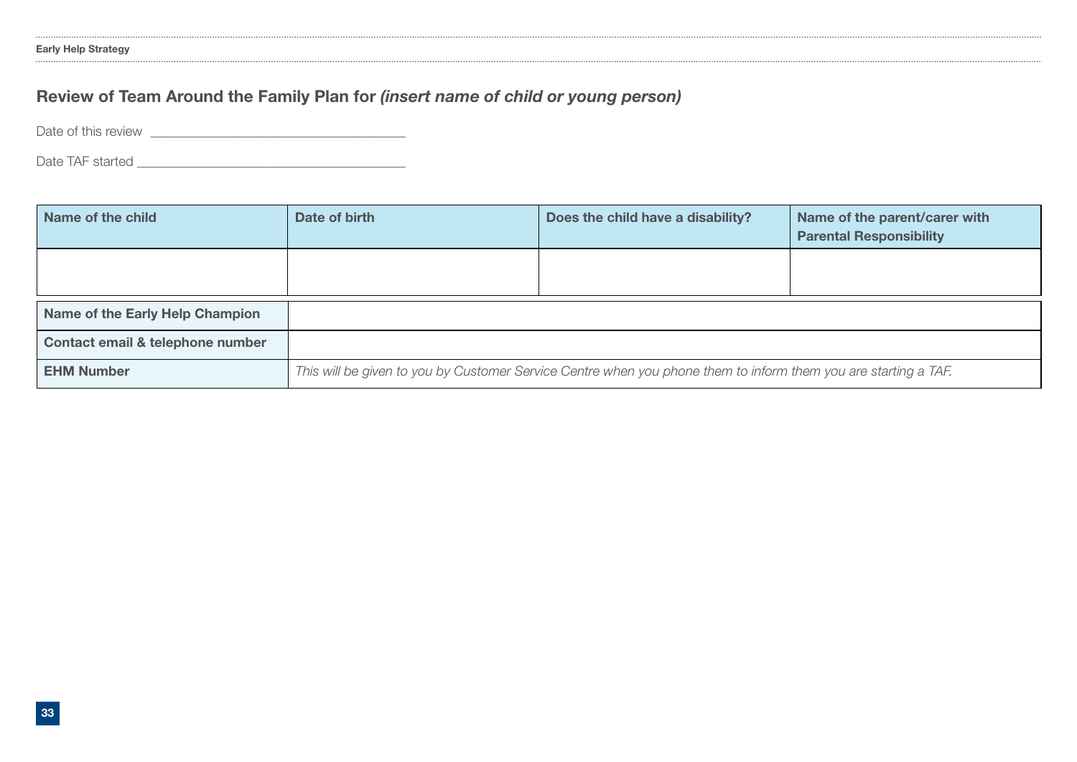### Review of Team Around the Family Plan for *(insert name of child or young person)*

Date of this review \_\_\_\_\_\_\_\_\_\_\_\_\_\_\_\_\_\_\_\_\_\_\_\_\_\_\_\_\_\_\_\_\_\_\_\_\_\_

Date TAF started \_\_\_\_\_\_\_\_\_\_\_\_\_\_\_\_\_\_\_\_\_\_\_\_\_\_\_\_\_\_\_\_\_\_\_\_\_\_\_\_

| Name of the child                | Date of birth                                                                                                   | Does the child have a disability? | Name of the parent/carer with<br><b>Parental Responsibility</b> |  |  |  |  |
|----------------------------------|-----------------------------------------------------------------------------------------------------------------|-----------------------------------|-----------------------------------------------------------------|--|--|--|--|
|                                  |                                                                                                                 |                                   |                                                                 |  |  |  |  |
| Name of the Early Help Champion  |                                                                                                                 |                                   |                                                                 |  |  |  |  |
| Contact email & telephone number |                                                                                                                 |                                   |                                                                 |  |  |  |  |
| <b>EHM Number</b>                | This will be given to you by Customer Service Centre when you phone them to inform them you are starting a TAF. |                                   |                                                                 |  |  |  |  |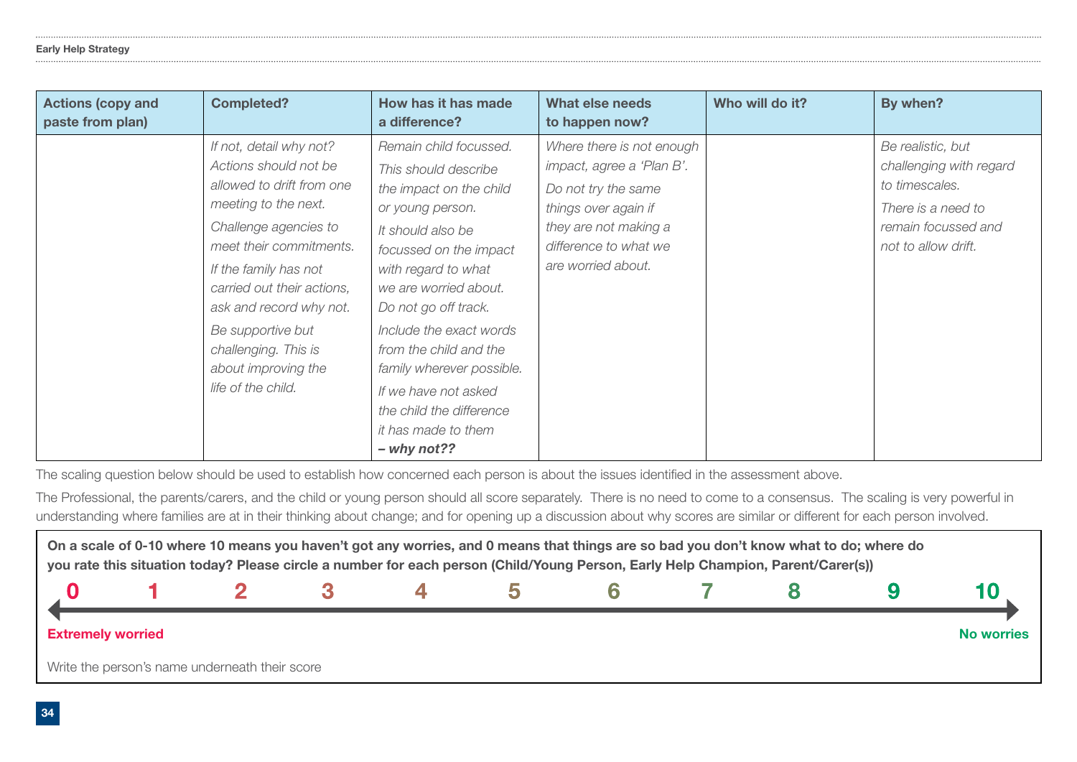| <b>Actions (copy and</b><br>paste from plan) | <b>Completed?</b>                                                                                                                                                                                                                                                                                                                     | How has it has made<br>a difference?                                                                                                                                                                                                                                                                                                                                                               | <b>What else needs</b><br>to happen now?                                                                                                                                      | Who will do it? | By when?                                                                                                                           |
|----------------------------------------------|---------------------------------------------------------------------------------------------------------------------------------------------------------------------------------------------------------------------------------------------------------------------------------------------------------------------------------------|----------------------------------------------------------------------------------------------------------------------------------------------------------------------------------------------------------------------------------------------------------------------------------------------------------------------------------------------------------------------------------------------------|-------------------------------------------------------------------------------------------------------------------------------------------------------------------------------|-----------------|------------------------------------------------------------------------------------------------------------------------------------|
|                                              | If not, detail why not?<br>Actions should not be<br>allowed to drift from one<br>meeting to the next.<br>Challenge agencies to<br>meet their commitments.<br>If the family has not<br>carried out their actions,<br>ask and record why not.<br>Be supportive but<br>challenging. This is<br>about improving the<br>life of the child. | Remain child focussed.<br>This should describe<br>the impact on the child<br>or young person.<br>It should also be<br>focussed on the impact<br>with regard to what<br>we are worried about.<br>Do not go off track.<br>Include the exact words<br>from the child and the<br>family wherever possible.<br>If we have not asked<br>the child the difference<br>it has made to them<br>$-$ why not?? | Where there is not enough<br>impact, agree a 'Plan B'.<br>Do not try the same<br>things over again if<br>they are not making a<br>difference to what we<br>are worried about. |                 | Be realistic, but<br>challenging with regard<br>to timescales.<br>There is a need to<br>remain focussed and<br>not to allow drift. |

The scaling question below should be used to establish how concerned each person is about the issues identifed in the assessment above.

The Professional, the parents/carers, and the child or young person should all score separately. There is no need to come to a consensus. The scaling is very powerful in understanding where families are at in their thinking about change; and for opening up a discussion about why scores are similar or different for each person involved.

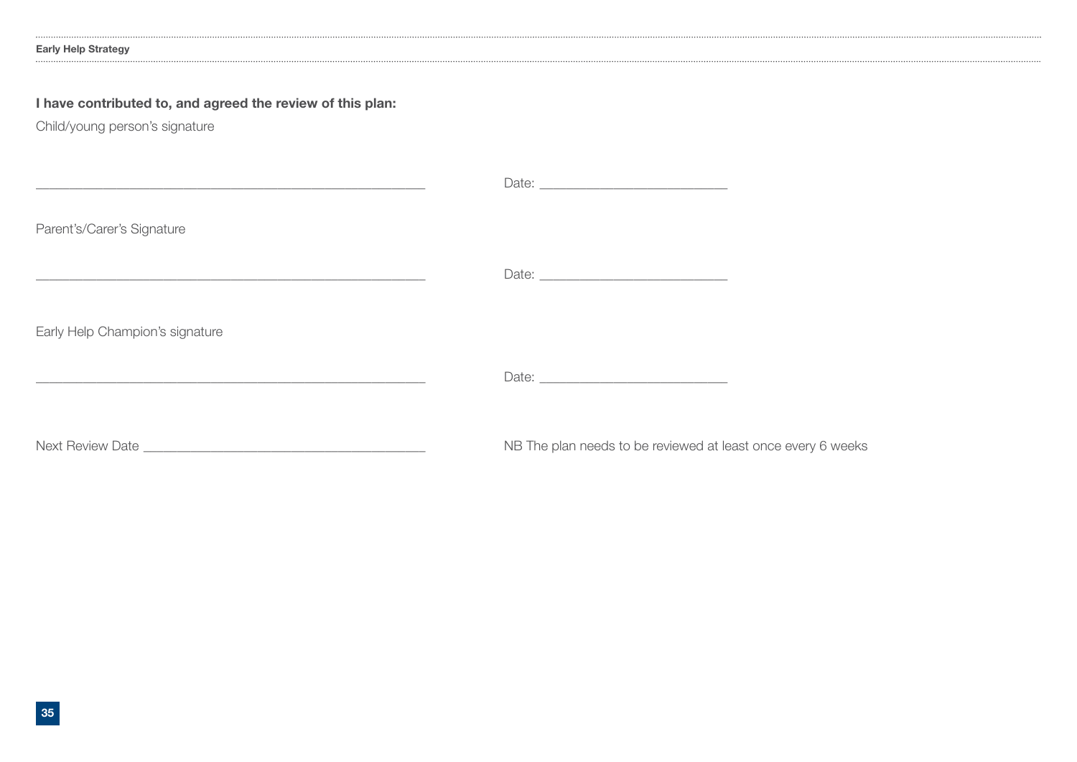### Early Help Strategy

### I have contributed to, and agreed the review of this plan:

Child/young person's signature

| <u> 1989 - Andrea San Andrea Andrea Andrea Andrea Andrea Andrea Andrea Andrea Andrea Andrea Andrea Andrea Andrea </u>  |                                                              |
|------------------------------------------------------------------------------------------------------------------------|--------------------------------------------------------------|
| Parent's/Carer's Signature                                                                                             |                                                              |
| <u> 1980 - Johann John Stone, markin basar marka a shekara ta 1980 ha shekara ta 1980 ha shekara ta 1980 ha shekar</u> |                                                              |
| Early Help Champion's signature                                                                                        |                                                              |
| and the control of the control of the control of the control of the control of the control of the control of the       |                                                              |
|                                                                                                                        | NB The plan needs to be reviewed at least once every 6 weeks |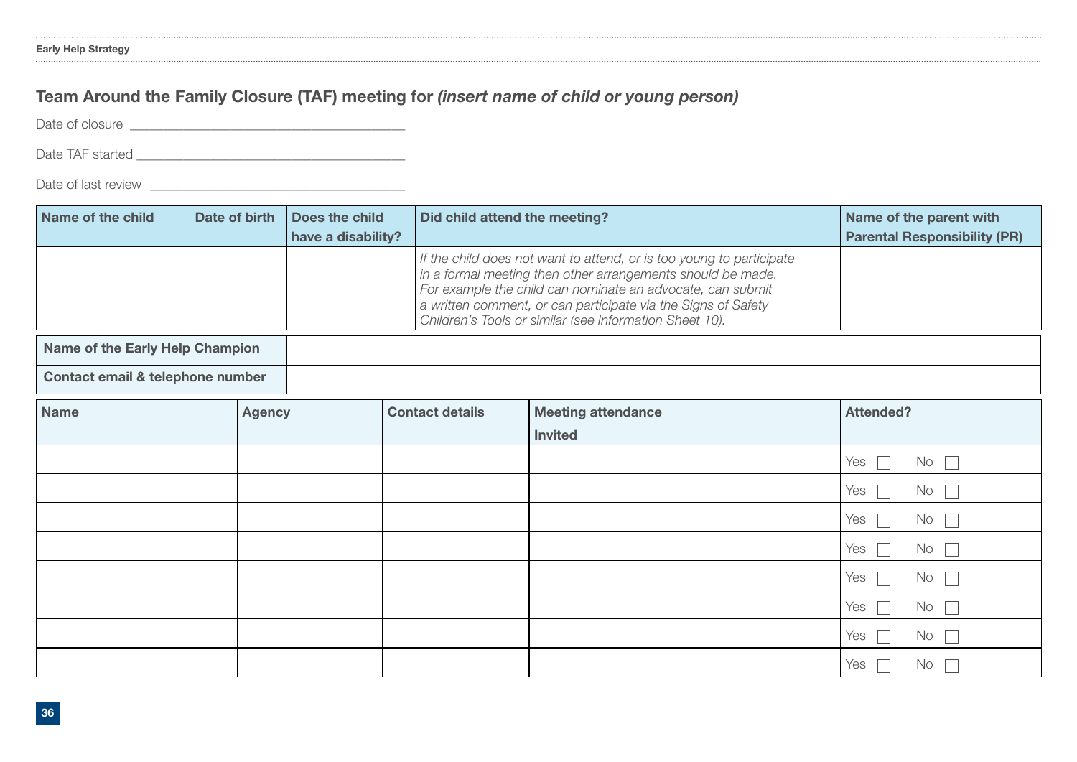### Team Around the Family Closure (TAF) meeting for *(insert name of child or young person)*

Date of closure \_\_\_\_\_\_\_\_\_\_\_\_\_\_\_\_\_\_\_\_\_\_\_\_\_\_\_\_\_\_\_\_\_\_\_\_\_\_\_\_\_

Date TAF started \_\_\_\_\_\_\_\_\_\_\_\_\_\_\_\_\_\_\_\_\_\_\_\_\_\_\_\_\_\_\_\_\_\_\_\_\_\_\_\_

Date of last review \_\_\_\_\_\_\_\_\_\_\_\_\_\_\_\_\_\_\_\_\_\_\_\_\_\_\_\_\_\_\_\_\_\_\_\_\_\_

| Name of the child                | Date of birth |               | <b>Does the child</b><br>have a disability? | Did child attend the meeting? | Name of the parent with<br><b>Parental Responsibility (PR)</b>                                                                                                                                                                                                                                                                |                           |  |
|----------------------------------|---------------|---------------|---------------------------------------------|-------------------------------|-------------------------------------------------------------------------------------------------------------------------------------------------------------------------------------------------------------------------------------------------------------------------------------------------------------------------------|---------------------------|--|
|                                  |               |               |                                             |                               | If the child does not want to attend, or is too young to participate<br>in a formal meeting then other arrangements should be made.<br>For example the child can nominate an advocate, can submit<br>a written comment, or can participate via the Signs of Safety<br>Children's Tools or similar (see Information Sheet 10). |                           |  |
| Name of the Early Help Champion  |               |               |                                             |                               |                                                                                                                                                                                                                                                                                                                               |                           |  |
| Contact email & telephone number |               |               |                                             |                               |                                                                                                                                                                                                                                                                                                                               |                           |  |
| <b>Name</b>                      |               | <b>Agency</b> |                                             | <b>Contact details</b>        | <b>Meeting attendance</b><br><b>Invited</b>                                                                                                                                                                                                                                                                                   | <b>Attended?</b>          |  |
|                                  |               |               |                                             |                               |                                                                                                                                                                                                                                                                                                                               | Yes<br>No<br>$\Box$       |  |
|                                  |               |               |                                             |                               |                                                                                                                                                                                                                                                                                                                               | Yes<br>No                 |  |
|                                  |               |               |                                             |                               |                                                                                                                                                                                                                                                                                                                               | Yes<br>No<br>$\mathbf{L}$ |  |
|                                  |               |               |                                             |                               |                                                                                                                                                                                                                                                                                                                               | Yes<br>No<br>$\mathbb{R}$ |  |
|                                  |               |               |                                             |                               |                                                                                                                                                                                                                                                                                                                               | Yes<br>No<br>$\mathbf{L}$ |  |
|                                  |               |               |                                             |                               |                                                                                                                                                                                                                                                                                                                               | Yes<br>No<br>$\mathbf{L}$ |  |
|                                  |               |               |                                             |                               |                                                                                                                                                                                                                                                                                                                               | Yes<br>No                 |  |
|                                  |               |               |                                             |                               |                                                                                                                                                                                                                                                                                                                               | Yes<br>No<br>$\mathbf{L}$ |  |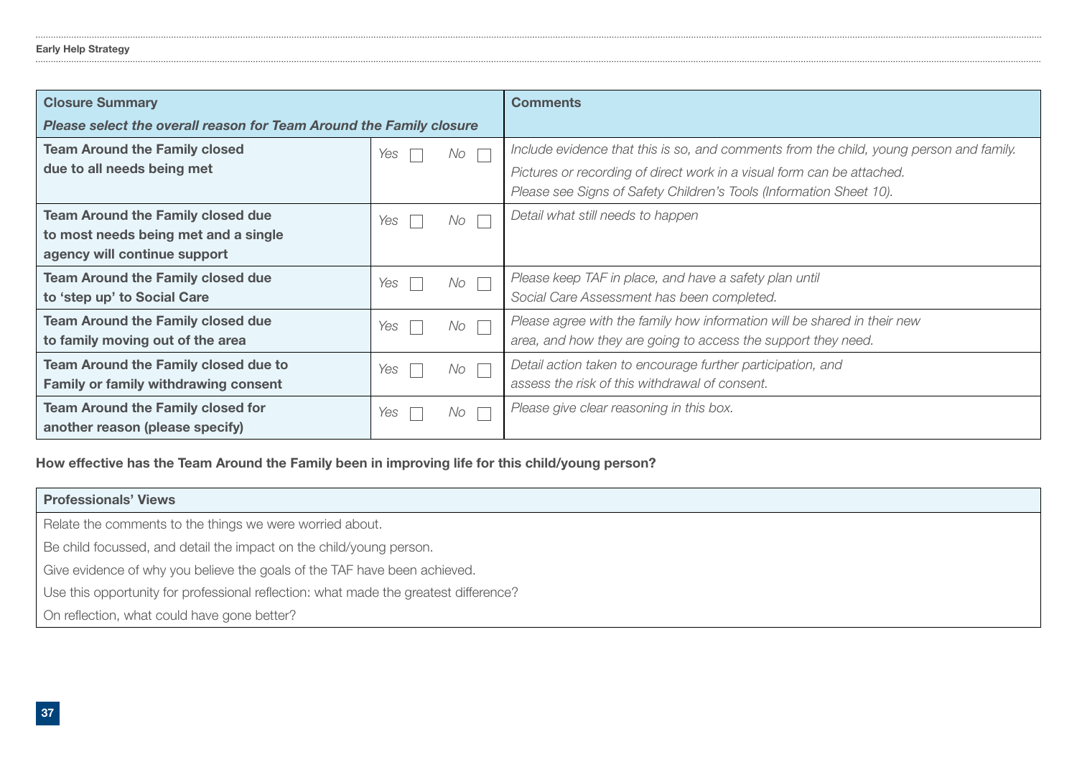| <b>Closure Summary</b>                                              |                       | <b>Comments</b>                                                                         |
|---------------------------------------------------------------------|-----------------------|-----------------------------------------------------------------------------------------|
| Please select the overall reason for Team Around the Family closure |                       |                                                                                         |
| <b>Team Around the Family closed</b>                                | $No \ \Gamma$<br>Yes  | Include evidence that this is so, and comments from the child, young person and family. |
| due to all needs being met                                          |                       | Pictures or recording of direct work in a visual form can be attached.                  |
|                                                                     |                       | Please see Signs of Safety Children's Tools (Information Sheet 10).                     |
| <b>Team Around the Family closed due</b>                            | $No \ \square$<br>Yes | Detail what still needs to happen                                                       |
| to most needs being met and a single                                |                       |                                                                                         |
| agency will continue support                                        |                       |                                                                                         |
| <b>Team Around the Family closed due</b>                            | $No \ \Box$<br>Yes    | Please keep TAF in place, and have a safety plan until                                  |
| to 'step up' to Social Care                                         |                       | Social Care Assessment has been completed.                                              |
| <b>Team Around the Family closed due</b>                            | $No \ \square$<br>Yes | Please agree with the family how information will be shared in their new                |
| to family moving out of the area                                    |                       | area, and how they are going to access the support they need.                           |
| <b>Team Around the Family closed due to</b>                         | $No \ \Gamma$<br>Yes  | Detail action taken to encourage further participation, and                             |
| <b>Family or family withdrawing consent</b>                         |                       | assess the risk of this withdrawal of consent.                                          |
| <b>Team Around the Family closed for</b>                            | $No \ \top$<br>Yes    | Please give clear reasoning in this box.                                                |
| another reason (please specify)                                     |                       |                                                                                         |

How effective has the Team Around the Family been in improving life for this child/young person?

| <b>Professionals' Views</b>                                                          |
|--------------------------------------------------------------------------------------|
| Relate the comments to the things we were worried about.                             |
| Be child focussed, and detail the impact on the child/young person.                  |
| Give evidence of why you believe the goals of the TAF have been achieved.            |
| Use this opportunity for professional reflection: what made the greatest difference? |
| On reflection, what could have gone better?                                          |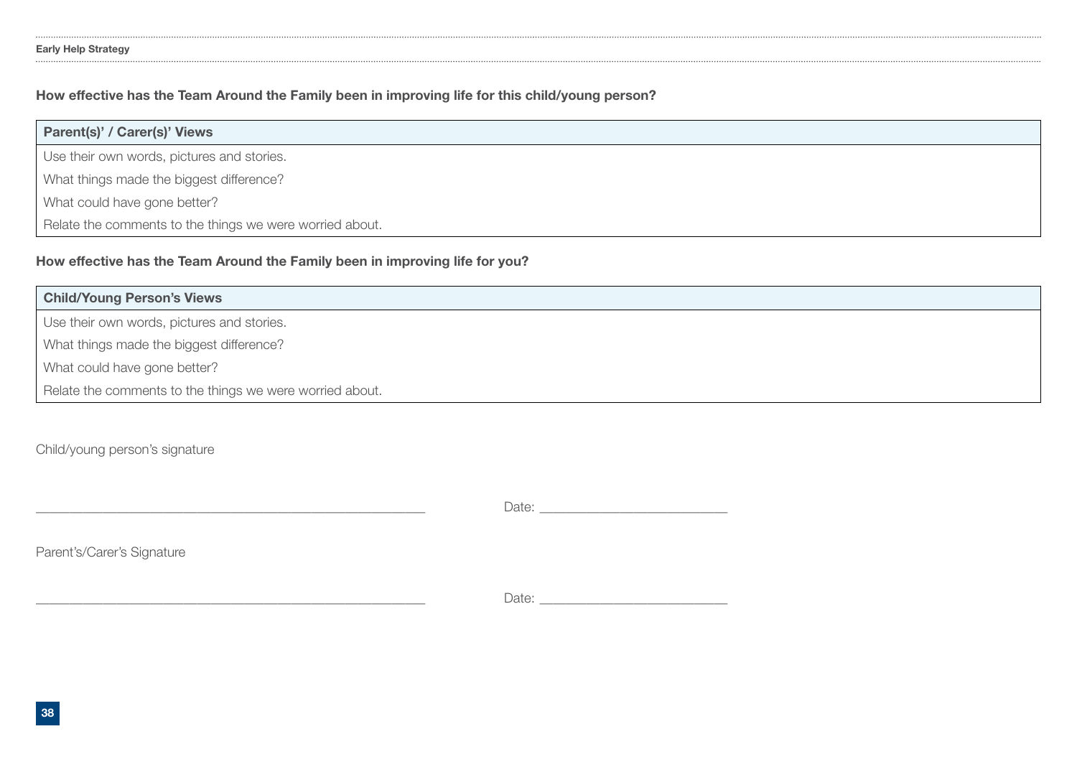### How effective has the Team Around the Family been in improving life for this child/young person?

| Parent(s)' / Carer(s)' Views                             |
|----------------------------------------------------------|
| Use their own words, pictures and stories.               |
| What things made the biggest difference?                 |
| What could have gone better?                             |
| Relate the comments to the things we were worried about. |

### How effective has the Team Around the Family been in improving life for you?

| <b>Child/Young Person's Views</b>                        |
|----------------------------------------------------------|
| Use their own words, pictures and stories.               |
| What things made the biggest difference?                 |
| What could have gone better?                             |
| Relate the comments to the things we were worried about. |

Child/young person's signature

Date:

Parent's/Carer's Signature

\_\_\_\_\_\_\_\_\_\_\_\_\_\_\_\_\_\_\_\_\_\_\_\_\_\_\_\_\_\_\_\_\_\_\_\_\_\_\_\_\_\_\_\_\_\_\_\_\_\_\_\_\_\_\_\_\_\_ Date: \_\_\_\_\_\_\_\_\_\_\_\_\_\_\_\_\_\_\_\_\_\_\_\_\_\_\_\_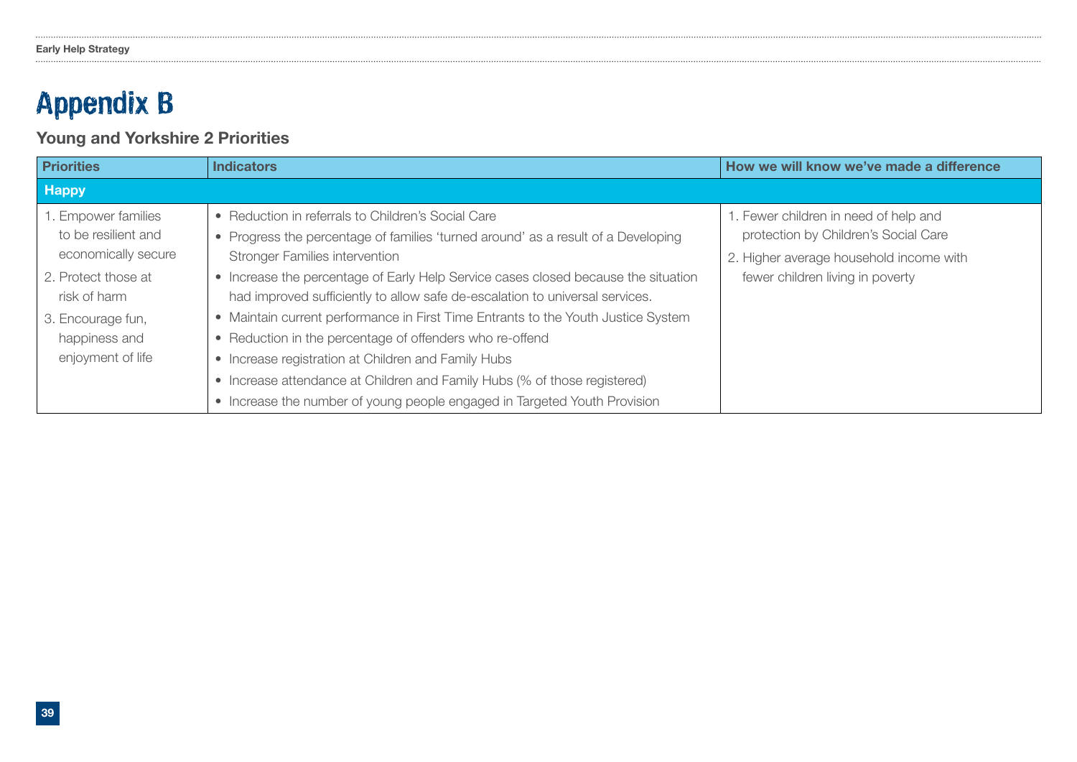### Appendix B

### Young and Yorkshire 2 Priorities

| <b>Priorities</b>                                                                                        | <b>Indicators</b>                                                                                                                                                                                                                                                                                                                                                                                                     | How we will know we've made a difference                                                                                                                     |
|----------------------------------------------------------------------------------------------------------|-----------------------------------------------------------------------------------------------------------------------------------------------------------------------------------------------------------------------------------------------------------------------------------------------------------------------------------------------------------------------------------------------------------------------|--------------------------------------------------------------------------------------------------------------------------------------------------------------|
| <b>Happy</b>                                                                                             |                                                                                                                                                                                                                                                                                                                                                                                                                       |                                                                                                                                                              |
| 1. Empower families<br>to be resilient and<br>economically secure<br>2. Protect those at<br>risk of harm | • Reduction in referrals to Children's Social Care<br>Progress the percentage of families 'turned around' as a result of a Developing<br>$\bullet$<br><b>Stronger Families intervention</b><br>Increase the percentage of Early Help Service cases closed because the situation<br>$\bullet$<br>had improved sufficiently to allow safe de-escalation to universal services.                                          | 1. Fewer children in need of help and<br>protection by Children's Social Care<br>2. Higher average household income with<br>fewer children living in poverty |
| 3. Encourage fun,<br>happiness and<br>enjoyment of life                                                  | Maintain current performance in First Time Entrants to the Youth Justice System<br>$\bullet$<br>Reduction in the percentage of offenders who re-offend<br>$\bullet$<br>Increase registration at Children and Family Hubs<br>$\bullet$<br>Increase attendance at Children and Family Hubs (% of those registered)<br>$\bullet$<br>Increase the number of young people engaged in Targeted Youth Provision<br>$\bullet$ |                                                                                                                                                              |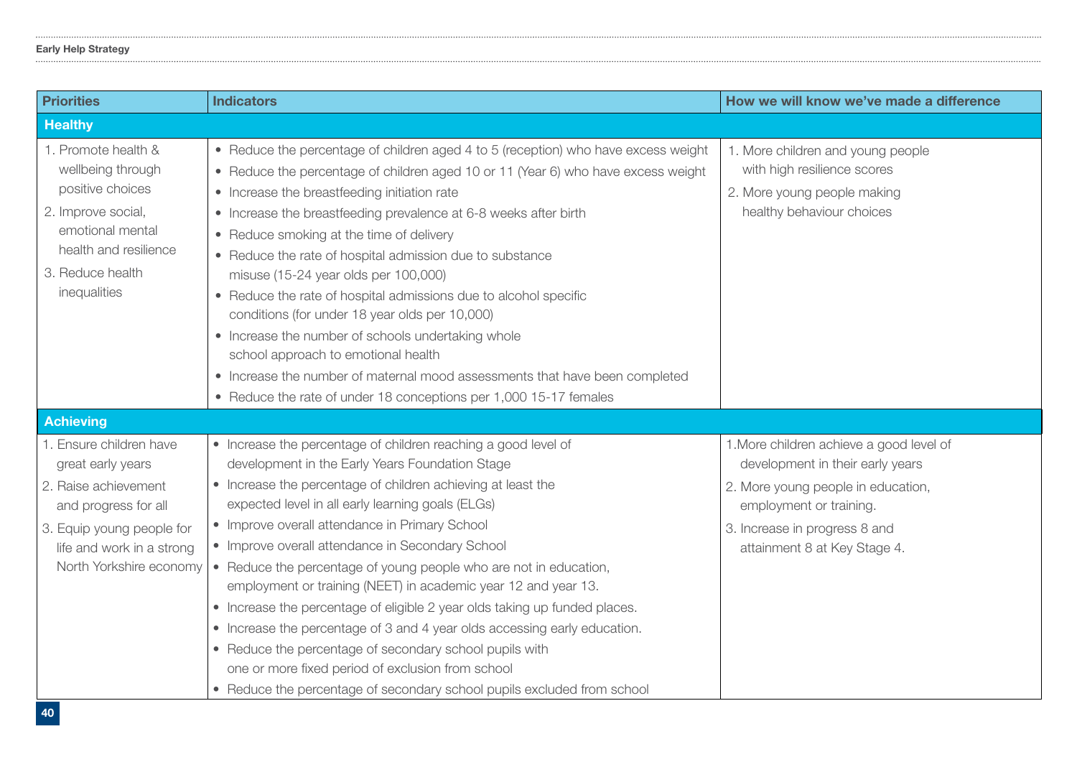### Early Help Strategy

| <b>Priorities</b>                                                                                                                                                                 | <b>Indicators</b>                                                                                                                                                                                                                                                                                                                                                                                                                                                                                                                                                                                                                                                                                                                                                                                                                         | How we will know we've made a difference                                                                                                                                                                       |
|-----------------------------------------------------------------------------------------------------------------------------------------------------------------------------------|-------------------------------------------------------------------------------------------------------------------------------------------------------------------------------------------------------------------------------------------------------------------------------------------------------------------------------------------------------------------------------------------------------------------------------------------------------------------------------------------------------------------------------------------------------------------------------------------------------------------------------------------------------------------------------------------------------------------------------------------------------------------------------------------------------------------------------------------|----------------------------------------------------------------------------------------------------------------------------------------------------------------------------------------------------------------|
| <b>Healthy</b>                                                                                                                                                                    |                                                                                                                                                                                                                                                                                                                                                                                                                                                                                                                                                                                                                                                                                                                                                                                                                                           |                                                                                                                                                                                                                |
| 1. Promote health &<br>wellbeing through<br>positive choices<br>2. Improve social,<br>emotional mental<br>health and resilience<br>3. Reduce health<br>inequalities               | • Reduce the percentage of children aged 4 to 5 (reception) who have excess weight<br>• Reduce the percentage of children aged 10 or 11 (Year 6) who have excess weight<br>• Increase the breastfeeding initiation rate<br>• Increase the breastfeeding prevalence at 6-8 weeks after birth<br>• Reduce smoking at the time of delivery<br>• Reduce the rate of hospital admission due to substance<br>misuse (15-24 year olds per 100,000)<br>• Reduce the rate of hospital admissions due to alcohol specific<br>conditions (for under 18 year olds per 10,000)<br>• Increase the number of schools undertaking whole<br>school approach to emotional health<br>• Increase the number of maternal mood assessments that have been completed<br>• Reduce the rate of under 18 conceptions per 1,000 15-17 females                        | 1. More children and young people<br>with high resilience scores<br>2. More young people making<br>healthy behaviour choices                                                                                   |
| <b>Achieving</b>                                                                                                                                                                  |                                                                                                                                                                                                                                                                                                                                                                                                                                                                                                                                                                                                                                                                                                                                                                                                                                           |                                                                                                                                                                                                                |
| 1. Ensure children have<br>great early years<br>2. Raise achievement<br>and progress for all<br>3. Equip young people for<br>life and work in a strong<br>North Yorkshire economy | • Increase the percentage of children reaching a good level of<br>development in the Early Years Foundation Stage<br>• Increase the percentage of children achieving at least the<br>expected level in all early learning goals (ELGs)<br>• Improve overall attendance in Primary School<br>• Improve overall attendance in Secondary School<br>• Reduce the percentage of young people who are not in education,<br>employment or training (NEET) in academic year 12 and year 13.<br>• Increase the percentage of eligible 2 year olds taking up funded places.<br>• Increase the percentage of 3 and 4 year olds accessing early education.<br>• Reduce the percentage of secondary school pupils with<br>one or more fixed period of exclusion from school<br>• Reduce the percentage of secondary school pupils excluded from school | 1. More children achieve a good level of<br>development in their early years<br>2. More young people in education,<br>employment or training.<br>3. Increase in progress 8 and<br>attainment 8 at Key Stage 4. |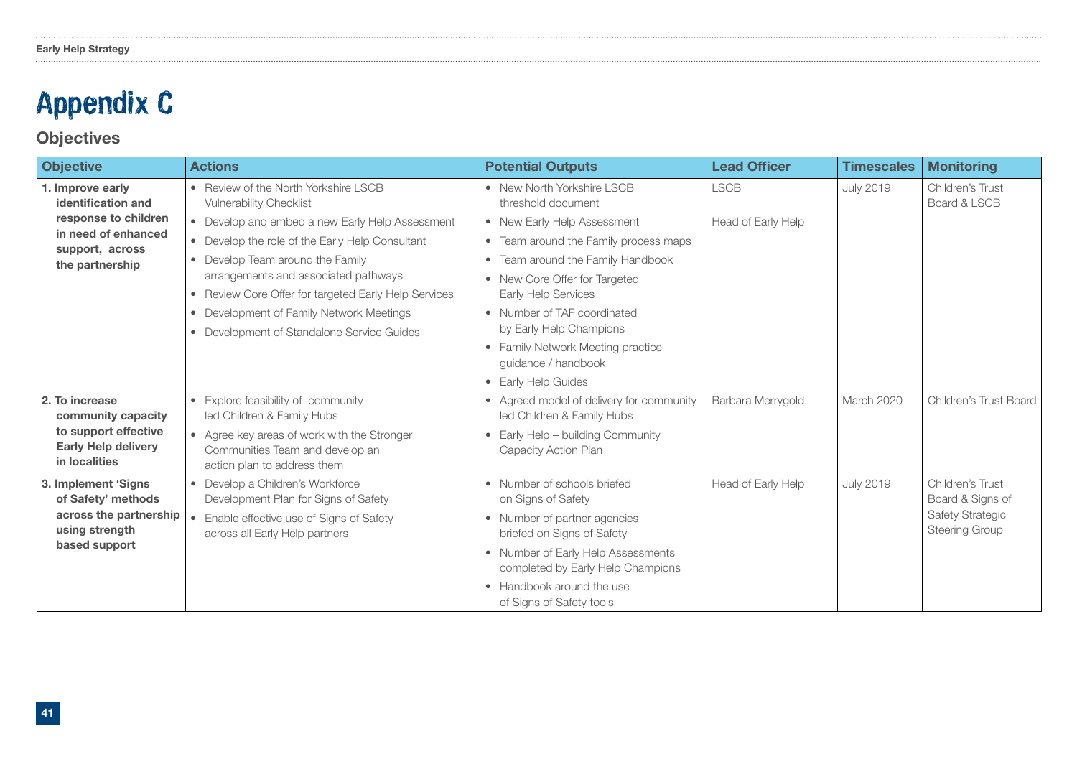### Appendix C

### **Objectives**

| <b>Objective</b>                                                                                                            | <b>Actions</b>                                                                                                                                                                                                                                                                                                                   | <b>Potential Outputs</b>                                                                                                                                                                                                                                                                                              | <b>Lead Officer</b> | <b>Timescales</b> | <b>Monitoring</b>                                                                 |
|-----------------------------------------------------------------------------------------------------------------------------|----------------------------------------------------------------------------------------------------------------------------------------------------------------------------------------------------------------------------------------------------------------------------------------------------------------------------------|-----------------------------------------------------------------------------------------------------------------------------------------------------------------------------------------------------------------------------------------------------------------------------------------------------------------------|---------------------|-------------------|-----------------------------------------------------------------------------------|
| 1. Improve early<br>identification and<br>response to children<br>in need of enhanced<br>support, across<br>the partnership | • Review of the North Yorkshire LSCB<br><b>Vulnerability Checklist</b>                                                                                                                                                                                                                                                           | • New North Yorkshire LSCB<br>threshold document                                                                                                                                                                                                                                                                      | <b>LSCB</b>         | <b>July 2019</b>  | Children's Trust<br>Board & LSCB                                                  |
|                                                                                                                             | • Develop and embed a new Early Help Assessment<br>• Develop the role of the Early Help Consultant<br>• Develop Team around the Family<br>arrangements and associated pathways<br>• Review Core Offer for targeted Early Help Services<br>• Development of Family Network Meetings<br>• Development of Standalone Service Guides | • New Early Help Assessment<br>• Team around the Family process maps<br>• Team around the Family Handbook<br>• New Core Offer for Targeted<br><b>Early Help Services</b><br>• Number of TAF coordinated<br>by Early Help Champions<br>• Family Network Meeting practice<br>quidance / handbook<br>• Early Help Guides | Head of Early Help  |                   |                                                                                   |
| 2. To increase<br>community capacity<br>to support effective<br><b>Early Help delivery</b><br>in localities                 | • Explore feasibility of community<br>led Children & Family Hubs<br>• Agree key areas of work with the Stronger<br>Communities Team and develop an<br>action plan to address them                                                                                                                                                | • Agreed model of delivery for community<br>led Children & Family Hubs<br>Early Help - building Community<br>Capacity Action Plan                                                                                                                                                                                     | Barbara Merrygold   | March 2020        | Children's Trust Board                                                            |
| 3. Implement 'Signs<br>of Safety' methods<br>across the partnership<br>using strength<br>based support                      | • Develop a Children's Workforce<br>Development Plan for Signs of Safety<br>Enable effective use of Signs of Safety<br>across all Early Help partners                                                                                                                                                                            | • Number of schools briefed<br>on Signs of Safety<br>• Number of partner agencies<br>briefed on Signs of Safety<br>• Number of Early Help Assessments<br>completed by Early Help Champions<br>• Handbook around the use<br>of Signs of Safety tools                                                                   | Head of Early Help  | <b>July 2019</b>  | Children's Trust<br>Board & Signs of<br>Safety Strategic<br><b>Steering Group</b> |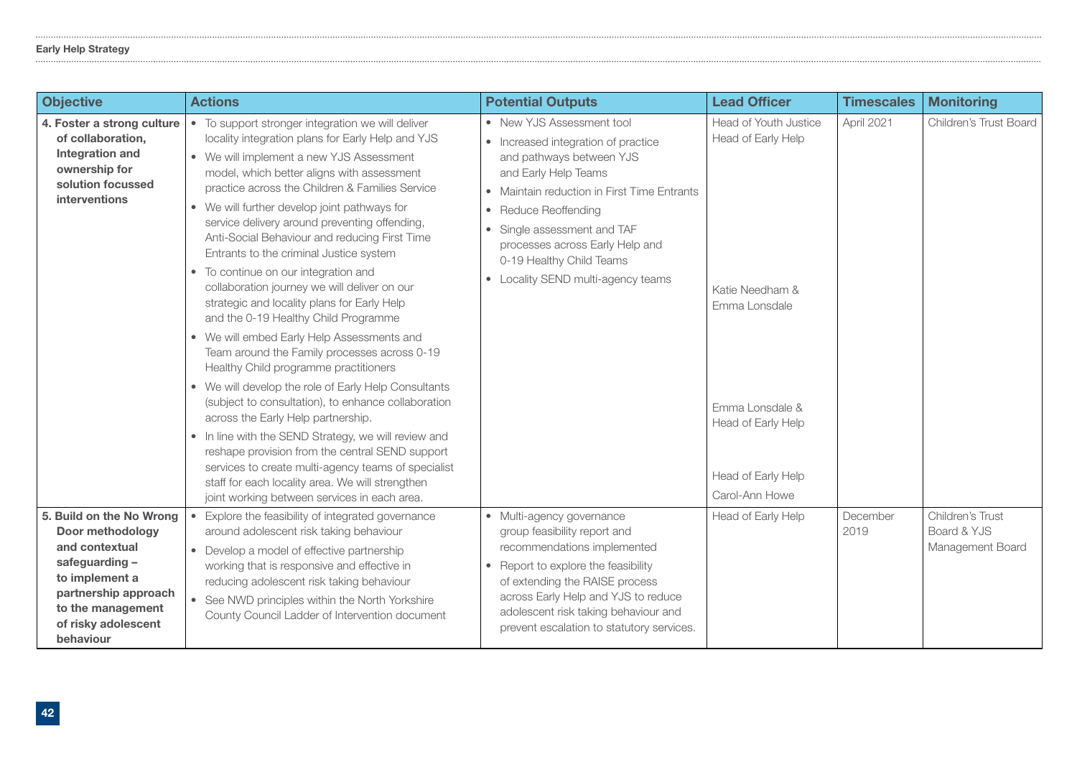### Early Help Strategy

| <b>Objective</b>                                                                                                                                                                   | <b>Actions</b>                                                                                                                                                                                                                                                                                                                                                                                                                                                                                                                                                                                                                                                                                                                                                                                                                                                                                                                                                                                                                                                                                                                                                                                    | <b>Potential Outputs</b>                                                                                                                                                                                                                                                                                                                              | <b>Lead Officer</b>                                                                                                                                              | <b>Timescales</b> | <b>Monitoring</b>                                   |
|------------------------------------------------------------------------------------------------------------------------------------------------------------------------------------|---------------------------------------------------------------------------------------------------------------------------------------------------------------------------------------------------------------------------------------------------------------------------------------------------------------------------------------------------------------------------------------------------------------------------------------------------------------------------------------------------------------------------------------------------------------------------------------------------------------------------------------------------------------------------------------------------------------------------------------------------------------------------------------------------------------------------------------------------------------------------------------------------------------------------------------------------------------------------------------------------------------------------------------------------------------------------------------------------------------------------------------------------------------------------------------------------|-------------------------------------------------------------------------------------------------------------------------------------------------------------------------------------------------------------------------------------------------------------------------------------------------------------------------------------------------------|------------------------------------------------------------------------------------------------------------------------------------------------------------------|-------------------|-----------------------------------------------------|
| 4. Foster a strong culture<br>of collaboration,<br><b>Integration and</b><br>ownership for<br>solution focussed<br><b>interventions</b>                                            | • To support stronger integration we will deliver<br>locality integration plans for Early Help and YJS<br>• We will implement a new YJS Assessment<br>model, which better aligns with assessment<br>practice across the Children & Families Service<br>• We will further develop joint pathways for<br>service delivery around preventing offending,<br>Anti-Social Behaviour and reducing First Time<br>Entrants to the criminal Justice system<br>• To continue on our integration and<br>collaboration journey we will deliver on our<br>strategic and locality plans for Early Help<br>and the 0-19 Healthy Child Programme<br>• We will embed Early Help Assessments and<br>Team around the Family processes across 0-19<br>Healthy Child programme practitioners<br>• We will develop the role of Early Help Consultants<br>(subject to consultation), to enhance collaboration<br>across the Early Help partnership.<br>• In line with the SEND Strategy, we will review and<br>reshape provision from the central SEND support<br>services to create multi-agency teams of specialist<br>staff for each locality area. We will strengthen<br>joint working between services in each area. | • New YJS Assessment tool<br>• Increased integration of practice<br>and pathways between YJS<br>and Early Help Teams<br>• Maintain reduction in First Time Entrants<br>Reduce Reoffending<br>$\bullet$<br>Single assessment and TAF<br>$\bullet$<br>processes across Early Help and<br>0-19 Healthy Child Teams<br>• Locality SEND multi-agency teams | Head of Youth Justice<br>Head of Early Help<br>Katie Needham &<br>Emma Lonsdale<br>Emma Lonsdale &<br>Head of Early Help<br>Head of Early Help<br>Carol-Ann Howe | April 2021        | Children's Trust Board                              |
| 5. Build on the No Wrong<br>Door methodology<br>and contextual<br>safeguarding-<br>to implement a<br>partnership approach<br>to the management<br>of risky adolescent<br>behaviour | Explore the feasibility of integrated governance<br>around adolescent risk taking behaviour<br>• Develop a model of effective partnership<br>working that is responsive and effective in<br>reducing adolescent risk taking behaviour<br>See NWD principles within the North Yorkshire<br>$\bullet$<br>County Council Ladder of Intervention document                                                                                                                                                                                                                                                                                                                                                                                                                                                                                                                                                                                                                                                                                                                                                                                                                                             | · Multi-agency governance<br>group feasibility report and<br>recommendations implemented<br>• Report to explore the feasibility<br>of extending the RAISE process<br>across Early Help and YJS to reduce<br>adolescent risk taking behaviour and<br>prevent escalation to statutory services.                                                         | Head of Early Help                                                                                                                                               | December<br>2019  | Children's Trust<br>Board & YJS<br>Management Board |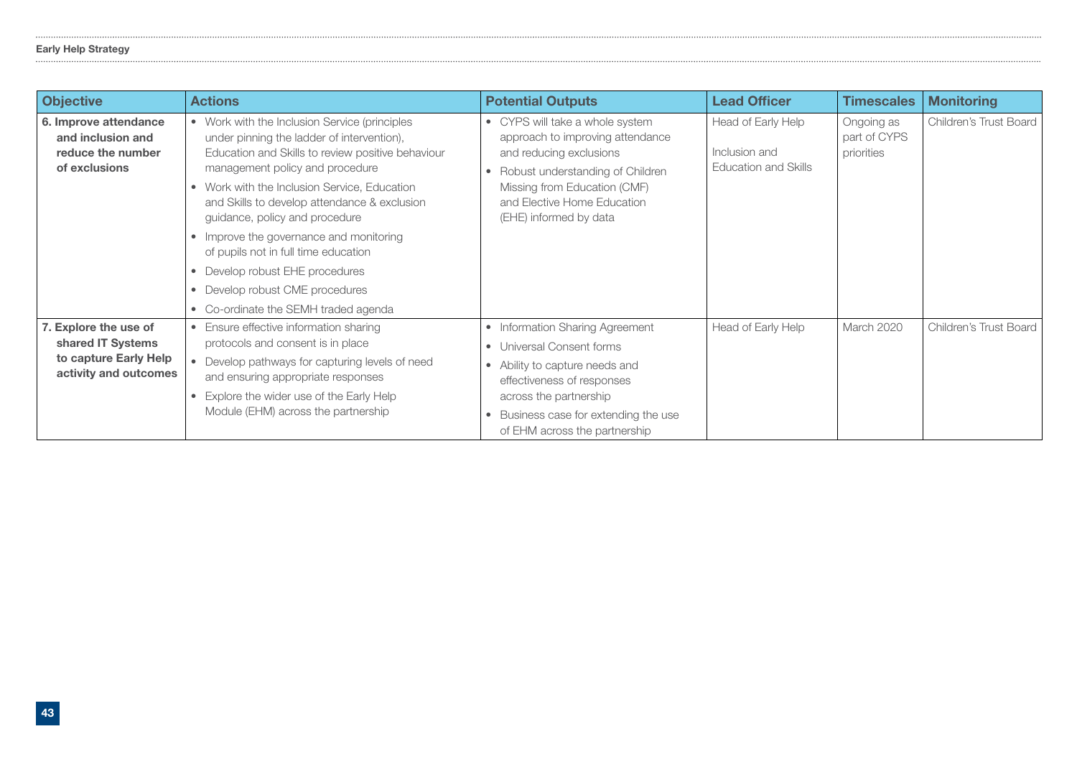### Early Help Strategy

| <b>Objective</b>                                                                             | <b>Actions</b>                                                                                                                                                                                                                                                                                                                                                                                                                                                                                                         | <b>Potential Outputs</b>                                                                                                                                                                                                                    | <b>Lead Officer</b>                                         | <b>Timescales</b>                        | <b>Monitoring</b>      |
|----------------------------------------------------------------------------------------------|------------------------------------------------------------------------------------------------------------------------------------------------------------------------------------------------------------------------------------------------------------------------------------------------------------------------------------------------------------------------------------------------------------------------------------------------------------------------------------------------------------------------|---------------------------------------------------------------------------------------------------------------------------------------------------------------------------------------------------------------------------------------------|-------------------------------------------------------------|------------------------------------------|------------------------|
| 6. Improve attendance<br>and inclusion and<br>reduce the number<br>of exclusions             | • Work with the Inclusion Service (principles<br>under pinning the ladder of intervention),<br>Education and Skills to review positive behaviour<br>management policy and procedure<br>• Work with the Inclusion Service, Education<br>and Skills to develop attendance & exclusion<br>guidance, policy and procedure<br>• Improve the governance and monitoring<br>of pupils not in full time education<br>• Develop robust EHE procedures<br>• Develop robust CME procedures<br>• Co-ordinate the SEMH traded agenda | • CYPS will take a whole system<br>approach to improving attendance<br>and reducing exclusions<br>Robust understanding of Children<br>$\bullet$<br>Missing from Education (CMF)<br>and Elective Home Education<br>(EHE) informed by data    | Head of Early Help<br>Inclusion and<br>Education and Skills | Ongoing as<br>part of CYPS<br>priorities | Children's Trust Board |
| 7. Explore the use of<br>shared IT Systems<br>to capture Early Help<br>activity and outcomes | • Ensure effective information sharing<br>protocols and consent is in place<br>• Develop pathways for capturing levels of need<br>and ensuring appropriate responses<br>• Explore the wider use of the Early Help<br>Module (EHM) across the partnership                                                                                                                                                                                                                                                               | • Information Sharing Agreement<br>• Universal Consent forms<br>• Ability to capture needs and<br>effectiveness of responses<br>across the partnership<br>Business case for extending the use<br>$\bullet$<br>of EHM across the partnership | Head of Early Help                                          | March 2020                               | Children's Trust Board |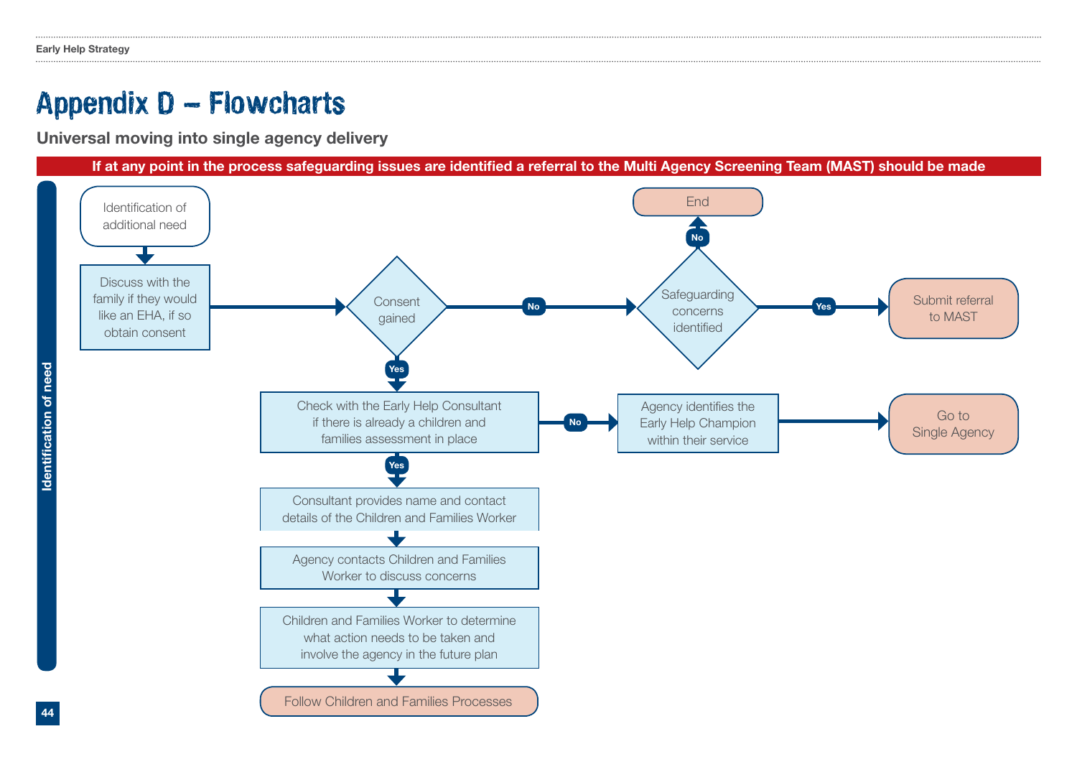### Appendix D – Flowcharts

Universal moving into single agency delivery

If at any point in the process safeguarding issues are identifed a referral to the Multi Agency Screening Team (MAST) should be made



Identifcation of need Identification of need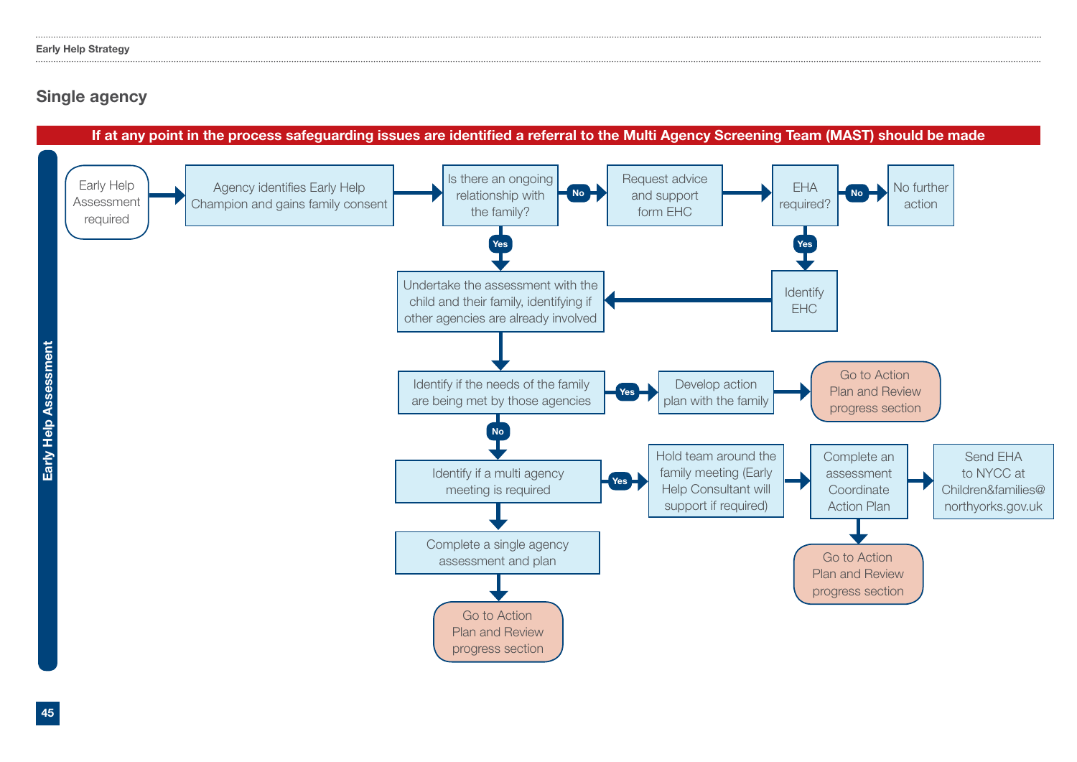### Single agency

### If at any point in the process safeguarding issues are identifed a referral to the Multi Agency Screening Team (MAST) should be made

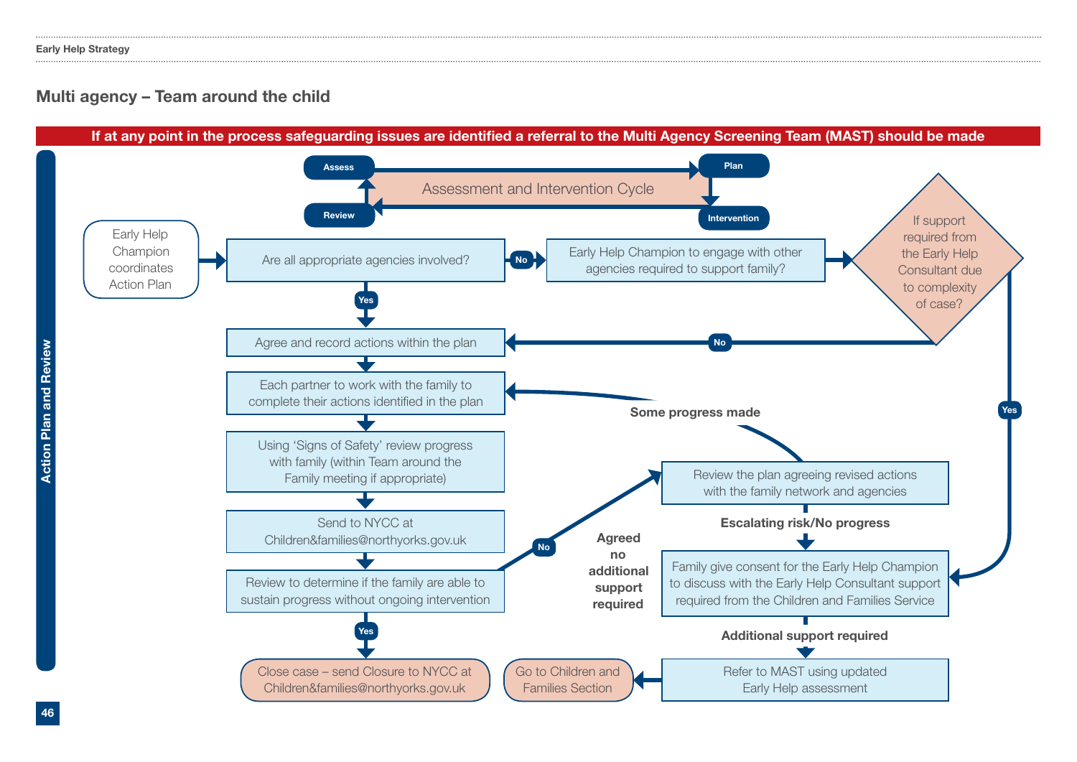### Multi agency – Team around the child

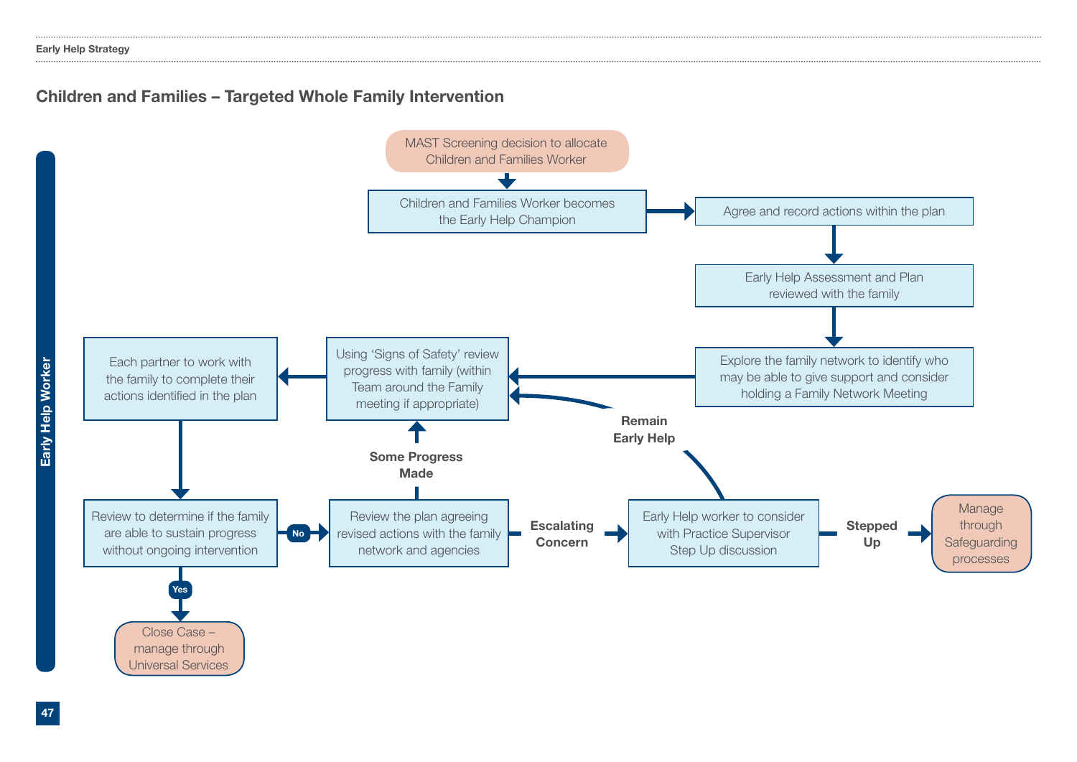### Children and Families – Targeted Whole Family Intervention